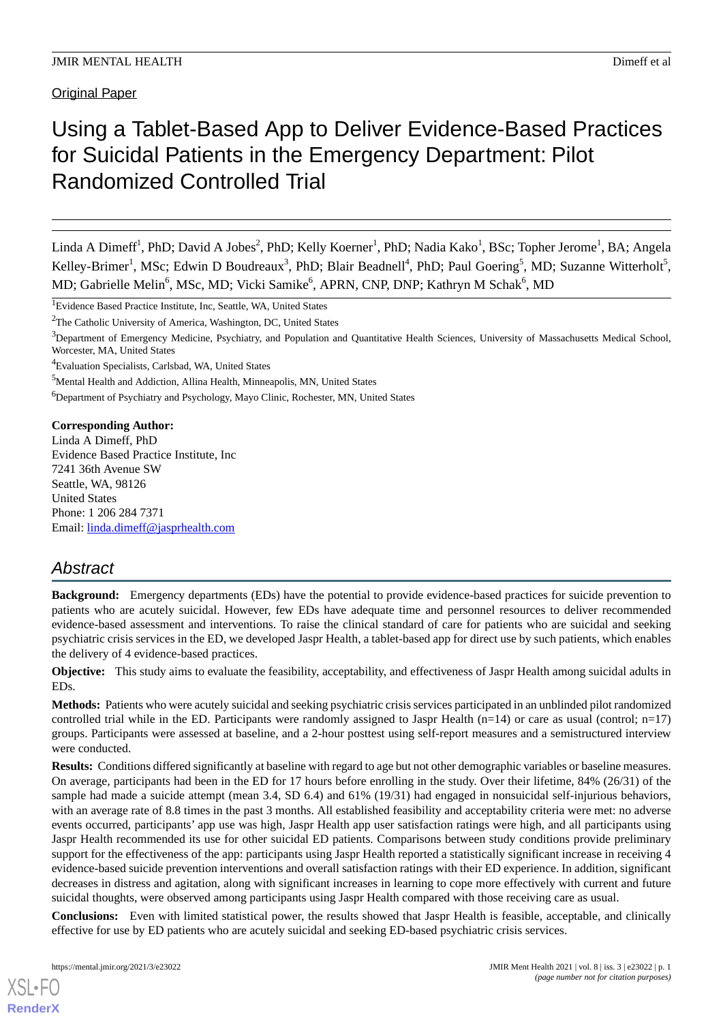Original Paper

# Using a Tablet-Based App to Deliver Evidence-Based Practices for Suicidal Patients in the Emergency Department: Pilot Randomized Controlled Trial

Linda A Dimeff<sup>1</sup>, PhD; David A Jobes<sup>2</sup>, PhD; Kelly Koerner<sup>1</sup>, PhD; Nadia Kako<sup>1</sup>, BSc; Topher Jerome<sup>1</sup>, BA; Angela Kelley-Brimer<sup>1</sup>, MSc; Edwin D Boudreaux<sup>3</sup>, PhD; Blair Beadnell<sup>4</sup>, PhD; Paul Goering<sup>5</sup>, MD; Suzanne Witterholt<sup>5</sup>, MD; Gabrielle Melin<sup>6</sup>, MSc, MD; Vicki Samike<sup>6</sup>, APRN, CNP, DNP; Kathryn M Schak<sup>6</sup>, MD

<sup>1</sup>Evidence Based Practice Institute, Inc, Seattle, WA, United States

<sup>2</sup>The Catholic University of America, Washington, DC, United States

<sup>4</sup>Evaluation Specialists, Carlsbad, WA, United States

<sup>5</sup>Mental Health and Addiction, Allina Health, Minneapolis, MN, United States

<sup>6</sup>Department of Psychiatry and Psychology, Mayo Clinic, Rochester, MN, United States

**Corresponding Author:** Linda A Dimeff, PhD

Evidence Based Practice Institute, Inc 7241 36th Avenue SW Seattle, WA, 98126 United States Phone: 1 206 284 7371 Email: [linda.dimeff@jasprhealth.com](mailto:linda.dimeff@jasprhealth.com)

# *Abstract*

**Background:** Emergency departments (EDs) have the potential to provide evidence-based practices for suicide prevention to patients who are acutely suicidal. However, few EDs have adequate time and personnel resources to deliver recommended evidence-based assessment and interventions. To raise the clinical standard of care for patients who are suicidal and seeking psychiatric crisis services in the ED, we developed Jaspr Health, a tablet-based app for direct use by such patients, which enables the delivery of 4 evidence-based practices.

**Objective:** This study aims to evaluate the feasibility, acceptability, and effectiveness of Jaspr Health among suicidal adults in EDs.

**Methods:** Patients who were acutely suicidal and seeking psychiatric crisis services participated in an unblinded pilot randomized controlled trial while in the ED. Participants were randomly assigned to Jaspr Health  $(n=14)$  or care as usual (control;  $n=17$ ) groups. Participants were assessed at baseline, and a 2-hour posttest using self-report measures and a semistructured interview were conducted.

**Results:** Conditions differed significantly at baseline with regard to age but not other demographic variables or baseline measures. On average, participants had been in the ED for 17 hours before enrolling in the study. Over their lifetime, 84% (26/31) of the sample had made a suicide attempt (mean 3.4, SD 6.4) and 61% (19/31) had engaged in nonsuicidal self-injurious behaviors, with an average rate of 8.8 times in the past 3 months. All established feasibility and acceptability criteria were met: no adverse events occurred, participants' app use was high, Jaspr Health app user satisfaction ratings were high, and all participants using Jaspr Health recommended its use for other suicidal ED patients. Comparisons between study conditions provide preliminary support for the effectiveness of the app: participants using Jaspr Health reported a statistically significant increase in receiving 4 evidence-based suicide prevention interventions and overall satisfaction ratings with their ED experience. In addition, significant decreases in distress and agitation, along with significant increases in learning to cope more effectively with current and future suicidal thoughts, were observed among participants using Jaspr Health compared with those receiving care as usual.

**Conclusions:** Even with limited statistical power, the results showed that Jaspr Health is feasible, acceptable, and clinically effective for use by ED patients who are acutely suicidal and seeking ED-based psychiatric crisis services.

 $3$ Department of Emergency Medicine, Psychiatry, and Population and Quantitative Health Sciences, University of Massachusetts Medical School, Worcester, MA, United States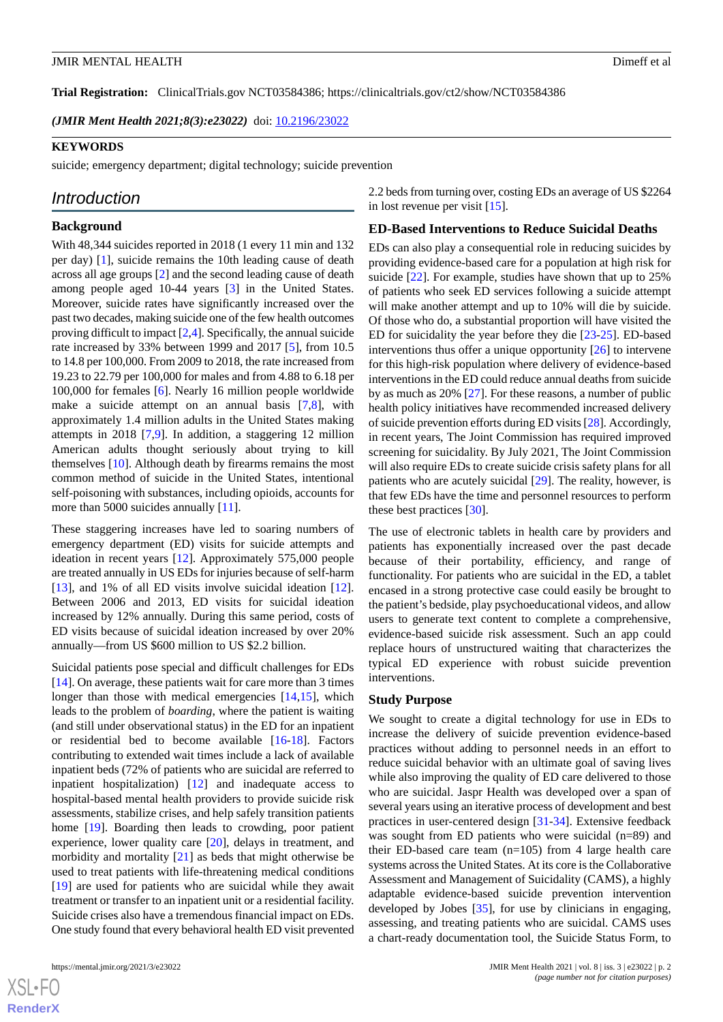**Trial Registration:** ClinicalTrials.gov NCT03584386; https://clinicaltrials.gov/ct2/show/NCT03584386

*(JMIR Ment Health 2021;8(3):e23022)* doi:  $10.2196/23022$ 

#### **KEYWORDS**

suicide; emergency department; digital technology; suicide prevention

# *Introduction*

#### **Background**

With 48,344 suicides reported in 2018 (1 every 11 min and 132 per day) [[1\]](#page-10-0), suicide remains the 10th leading cause of death across all age groups [\[2](#page-10-1)] and the second leading cause of death among people aged 10-44 years [[3\]](#page-10-2) in the United States. Moreover, suicide rates have significantly increased over the past two decades, making suicide one of the few health outcomes proving difficult to impact [\[2](#page-10-1),[4\]](#page-10-3). Specifically, the annual suicide rate increased by 33% between 1999 and 2017 [\[5](#page-11-0)], from 10.5 to 14.8 per 100,000. From 2009 to 2018, the rate increased from 19.23 to 22.79 per 100,000 for males and from 4.88 to 6.18 per 100,000 for females [\[6](#page-11-1)]. Nearly 16 million people worldwide make a suicide attempt on an annual basis [[7](#page-11-2)[,8](#page-11-3)], with approximately 1.4 million adults in the United States making attempts in 2018 [[7](#page-11-2)[,9](#page-11-4)]. In addition, a staggering 12 million American adults thought seriously about trying to kill themselves [[10\]](#page-11-5). Although death by firearms remains the most common method of suicide in the United States, intentional self-poisoning with substances, including opioids, accounts for more than 5000 suicides annually [[11\]](#page-11-6).

These staggering increases have led to soaring numbers of emergency department (ED) visits for suicide attempts and ideation in recent years [[12\]](#page-11-7). Approximately 575,000 people are treated annually in US EDs for injuries because of self-harm [[13\]](#page-11-8), and 1% of all ED visits involve suicidal ideation [[12\]](#page-11-7). Between 2006 and 2013, ED visits for suicidal ideation increased by 12% annually. During this same period, costs of ED visits because of suicidal ideation increased by over 20% annually—from US \$600 million to US \$2.2 billion.

Suicidal patients pose special and difficult challenges for EDs [[14\]](#page-11-9). On average, these patients wait for care more than 3 times longer than those with medical emergencies [[14,](#page-11-9)[15](#page-11-10)], which leads to the problem of *boarding*, where the patient is waiting (and still under observational status) in the ED for an inpatient or residential bed to become available [\[16](#page-11-11)-[18\]](#page-11-12). Factors contributing to extended wait times include a lack of available inpatient beds (72% of patients who are suicidal are referred to inpatient hospitalization) [[12\]](#page-11-7) and inadequate access to hospital-based mental health providers to provide suicide risk assessments, stabilize crises, and help safely transition patients home [[19\]](#page-11-13). Boarding then leads to crowding, poor patient experience, lower quality care [\[20](#page-11-14)], delays in treatment, and morbidity and mortality [[21\]](#page-11-15) as beds that might otherwise be used to treat patients with life-threatening medical conditions [[19\]](#page-11-13) are used for patients who are suicidal while they await treatment or transfer to an inpatient unit or a residential facility. Suicide crises also have a tremendous financial impact on EDs. One study found that every behavioral health ED visit prevented

2.2 beds from turning over, costing EDs an average of US \$2264 in lost revenue per visit [[15\]](#page-11-10).

#### **ED-Based Interventions to Reduce Suicidal Deaths**

EDs can also play a consequential role in reducing suicides by providing evidence-based care for a population at high risk for suicide [\[22](#page-11-16)]. For example, studies have shown that up to 25% of patients who seek ED services following a suicide attempt will make another attempt and up to 10% will die by suicide. Of those who do, a substantial proportion will have visited the ED for suicidality the year before they die [\[23](#page-11-17)-[25\]](#page-11-18). ED-based interventions thus offer a unique opportunity  $[26]$  $[26]$  to intervene for this high-risk population where delivery of evidence-based interventions in the ED could reduce annual deaths from suicide by as much as 20% [[27\]](#page-11-20). For these reasons, a number of public health policy initiatives have recommended increased delivery of suicide prevention efforts during ED visits [\[28\]](#page-11-21). Accordingly, in recent years, The Joint Commission has required improved screening for suicidality. By July 2021, The Joint Commission will also require EDs to create suicide crisis safety plans for all patients who are acutely suicidal [[29\]](#page-12-0). The reality, however, is that few EDs have the time and personnel resources to perform these best practices [[30\]](#page-12-1).

The use of electronic tablets in health care by providers and patients has exponentially increased over the past decade because of their portability, efficiency, and range of functionality. For patients who are suicidal in the ED, a tablet encased in a strong protective case could easily be brought to the patient's bedside, play psychoeducational videos, and allow users to generate text content to complete a comprehensive, evidence-based suicide risk assessment. Such an app could replace hours of unstructured waiting that characterizes the typical ED experience with robust suicide prevention interventions.

#### **Study Purpose**

We sought to create a digital technology for use in EDs to increase the delivery of suicide prevention evidence-based practices without adding to personnel needs in an effort to reduce suicidal behavior with an ultimate goal of saving lives while also improving the quality of ED care delivered to those who are suicidal. Jaspr Health was developed over a span of several years using an iterative process of development and best practices in user-centered design [\[31](#page-12-2)-[34\]](#page-12-3). Extensive feedback was sought from ED patients who were suicidal (n=89) and their ED-based care team  $(n=105)$  from 4 large health care systems across the United States. At its core is the Collaborative Assessment and Management of Suicidality (CAMS), a highly adaptable evidence-based suicide prevention intervention developed by Jobes [\[35](#page-12-4)], for use by clinicians in engaging, assessing, and treating patients who are suicidal. CAMS uses a chart-ready documentation tool, the Suicide Status Form, to

 $XS$  • FO **[RenderX](http://www.renderx.com/)**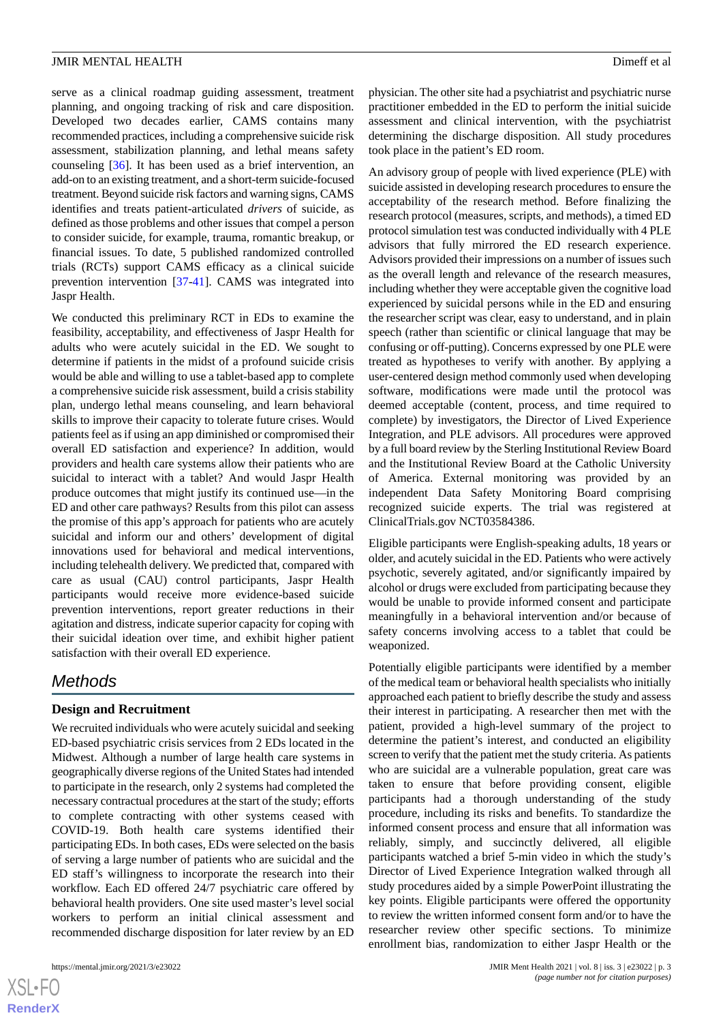serve as a clinical roadmap guiding assessment, treatment planning, and ongoing tracking of risk and care disposition. Developed two decades earlier, CAMS contains many recommended practices, including a comprehensive suicide risk assessment, stabilization planning, and lethal means safety counseling [[36](#page-12-5)]. It has been used as a brief intervention, an add-on to an existing treatment, and a short-term suicide-focused treatment. Beyond suicide risk factors and warning signs, CAMS identifies and treats patient-articulated *drivers* of suicide, as defined as those problems and other issues that compel a person to consider suicide, for example, trauma, romantic breakup, or financial issues. To date, 5 published randomized controlled trials (RCTs) support CAMS efficacy as a clinical suicide prevention intervention [\[37](#page-12-6)-[41\]](#page-12-7). CAMS was integrated into Jaspr Health.

We conducted this preliminary RCT in EDs to examine the feasibility, acceptability, and effectiveness of Jaspr Health for adults who were acutely suicidal in the ED. We sought to determine if patients in the midst of a profound suicide crisis would be able and willing to use a tablet-based app to complete a comprehensive suicide risk assessment, build a crisis stability plan, undergo lethal means counseling, and learn behavioral skills to improve their capacity to tolerate future crises. Would patients feel as if using an app diminished or compromised their overall ED satisfaction and experience? In addition, would providers and health care systems allow their patients who are suicidal to interact with a tablet? And would Jaspr Health produce outcomes that might justify its continued use—in the ED and other care pathways? Results from this pilot can assess the promise of this app's approach for patients who are acutely suicidal and inform our and others' development of digital innovations used for behavioral and medical interventions, including telehealth delivery. We predicted that, compared with care as usual (CAU) control participants, Jaspr Health participants would receive more evidence-based suicide prevention interventions, report greater reductions in their agitation and distress, indicate superior capacity for coping with their suicidal ideation over time, and exhibit higher patient satisfaction with their overall ED experience.

# *Methods*

## **Design and Recruitment**

We recruited individuals who were acutely suicidal and seeking ED-based psychiatric crisis services from 2 EDs located in the Midwest. Although a number of large health care systems in geographically diverse regions of the United States had intended to participate in the research, only 2 systems had completed the necessary contractual procedures at the start of the study; efforts to complete contracting with other systems ceased with COVID-19. Both health care systems identified their participating EDs. In both cases, EDs were selected on the basis of serving a large number of patients who are suicidal and the ED staff's willingness to incorporate the research into their workflow. Each ED offered 24/7 psychiatric care offered by behavioral health providers. One site used master's level social workers to perform an initial clinical assessment and recommended discharge disposition for later review by an ED

 $XS$ -FO **[RenderX](http://www.renderx.com/)**

physician. The other site had a psychiatrist and psychiatric nurse practitioner embedded in the ED to perform the initial suicide assessment and clinical intervention, with the psychiatrist determining the discharge disposition. All study procedures took place in the patient's ED room.

An advisory group of people with lived experience (PLE) with suicide assisted in developing research procedures to ensure the acceptability of the research method. Before finalizing the research protocol (measures, scripts, and methods), a timed ED protocol simulation test was conducted individually with 4 PLE advisors that fully mirrored the ED research experience. Advisors provided their impressions on a number of issues such as the overall length and relevance of the research measures, including whether they were acceptable given the cognitive load experienced by suicidal persons while in the ED and ensuring the researcher script was clear, easy to understand, and in plain speech (rather than scientific or clinical language that may be confusing or off-putting). Concerns expressed by one PLE were treated as hypotheses to verify with another. By applying a user-centered design method commonly used when developing software, modifications were made until the protocol was deemed acceptable (content, process, and time required to complete) by investigators, the Director of Lived Experience Integration, and PLE advisors. All procedures were approved by a full board review by the Sterling Institutional Review Board and the Institutional Review Board at the Catholic University of America. External monitoring was provided by an independent Data Safety Monitoring Board comprising recognized suicide experts. The trial was registered at ClinicalTrials.gov NCT03584386.

Eligible participants were English-speaking adults, 18 years or older, and acutely suicidal in the ED. Patients who were actively psychotic, severely agitated, and/or significantly impaired by alcohol or drugs were excluded from participating because they would be unable to provide informed consent and participate meaningfully in a behavioral intervention and/or because of safety concerns involving access to a tablet that could be weaponized.

Potentially eligible participants were identified by a member of the medical team or behavioral health specialists who initially approached each patient to briefly describe the study and assess their interest in participating. A researcher then met with the patient, provided a high-level summary of the project to determine the patient's interest, and conducted an eligibility screen to verify that the patient met the study criteria. As patients who are suicidal are a vulnerable population, great care was taken to ensure that before providing consent, eligible participants had a thorough understanding of the study procedure, including its risks and benefits. To standardize the informed consent process and ensure that all information was reliably, simply, and succinctly delivered, all eligible participants watched a brief 5-min video in which the study's Director of Lived Experience Integration walked through all study procedures aided by a simple PowerPoint illustrating the key points. Eligible participants were offered the opportunity to review the written informed consent form and/or to have the researcher review other specific sections. To minimize enrollment bias, randomization to either Jaspr Health or the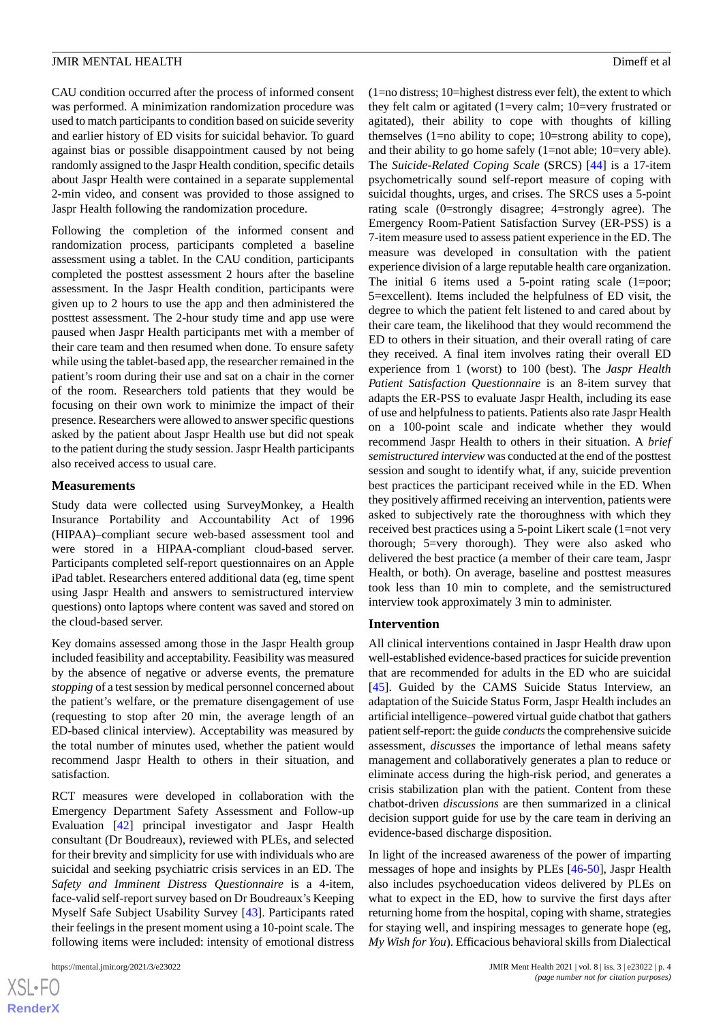CAU condition occurred after the process of informed consent was performed. A minimization randomization procedure was used to match participants to condition based on suicide severity and earlier history of ED visits for suicidal behavior. To guard against bias or possible disappointment caused by not being randomly assigned to the Jaspr Health condition, specific details about Jaspr Health were contained in a separate supplemental 2-min video, and consent was provided to those assigned to Jaspr Health following the randomization procedure.

Following the completion of the informed consent and randomization process, participants completed a baseline assessment using a tablet. In the CAU condition, participants completed the posttest assessment 2 hours after the baseline assessment. In the Jaspr Health condition, participants were given up to 2 hours to use the app and then administered the posttest assessment. The 2-hour study time and app use were paused when Jaspr Health participants met with a member of their care team and then resumed when done. To ensure safety while using the tablet-based app, the researcher remained in the patient's room during their use and sat on a chair in the corner of the room. Researchers told patients that they would be focusing on their own work to minimize the impact of their presence. Researchers were allowed to answer specific questions asked by the patient about Jaspr Health use but did not speak to the patient during the study session. Jaspr Health participants also received access to usual care.

#### **Measurements**

Study data were collected using SurveyMonkey, a Health Insurance Portability and Accountability Act of 1996 (HIPAA)–compliant secure web-based assessment tool and were stored in a HIPAA-compliant cloud-based server. Participants completed self-report questionnaires on an Apple iPad tablet. Researchers entered additional data (eg, time spent using Jaspr Health and answers to semistructured interview questions) onto laptops where content was saved and stored on the cloud-based server.

Key domains assessed among those in the Jaspr Health group included feasibility and acceptability. Feasibility was measured by the absence of negative or adverse events, the premature *stopping* of a test session by medical personnel concerned about the patient's welfare, or the premature disengagement of use (requesting to stop after 20 min, the average length of an ED-based clinical interview). Acceptability was measured by the total number of minutes used, whether the patient would recommend Jaspr Health to others in their situation, and satisfaction.

RCT measures were developed in collaboration with the Emergency Department Safety Assessment and Follow-up Evaluation [\[42](#page-12-8)] principal investigator and Jaspr Health consultant (Dr Boudreaux), reviewed with PLEs, and selected for their brevity and simplicity for use with individuals who are suicidal and seeking psychiatric crisis services in an ED. The *Safety and Imminent Distress Questionnaire* is a 4-item, face-valid self-report survey based on Dr Boudreaux's Keeping Myself Safe Subject Usability Survey [\[43](#page-12-9)]. Participants rated their feelings in the present moment using a 10-point scale. The following items were included: intensity of emotional distress

(1=no distress; 10=highest distress ever felt), the extent to which they felt calm or agitated (1=very calm; 10=very frustrated or agitated), their ability to cope with thoughts of killing themselves (1=no ability to cope; 10=strong ability to cope), and their ability to go home safely (1=not able; 10=very able). The *Suicide-Related Coping Scale* (SRCS) [\[44](#page-12-10)] is a 17-item psychometrically sound self-report measure of coping with suicidal thoughts, urges, and crises. The SRCS uses a 5-point rating scale (0=strongly disagree; 4=strongly agree). The Emergency Room-Patient Satisfaction Survey (ER-PSS) is a 7-item measure used to assess patient experience in the ED. The measure was developed in consultation with the patient experience division of a large reputable health care organization. The initial 6 items used a 5-point rating scale  $(1=poor;$ 5=excellent). Items included the helpfulness of ED visit, the degree to which the patient felt listened to and cared about by their care team, the likelihood that they would recommend the ED to others in their situation, and their overall rating of care they received. A final item involves rating their overall ED experience from 1 (worst) to 100 (best). The *Jaspr Health Patient Satisfaction Questionnaire* is an 8-item survey that adapts the ER-PSS to evaluate Jaspr Health, including its ease of use and helpfulness to patients. Patients also rate Jaspr Health on a 100-point scale and indicate whether they would recommend Jaspr Health to others in their situation. A *brief semistructured interview* was conducted at the end of the posttest session and sought to identify what, if any, suicide prevention best practices the participant received while in the ED. When they positively affirmed receiving an intervention, patients were asked to subjectively rate the thoroughness with which they received best practices using a 5-point Likert scale (1=not very thorough; 5=very thorough). They were also asked who delivered the best practice (a member of their care team, Jaspr Health, or both). On average, baseline and posttest measures took less than 10 min to complete, and the semistructured interview took approximately 3 min to administer.

#### **Intervention**

All clinical interventions contained in Jaspr Health draw upon well-established evidence-based practices for suicide prevention that are recommended for adults in the ED who are suicidal [[45\]](#page-12-11). Guided by the CAMS Suicide Status Interview, an adaptation of the Suicide Status Form, Jaspr Health includes an artificial intelligence–powered virtual guide chatbot that gathers patient self-report: the guide *conducts*the comprehensive suicide assessment, *discusses* the importance of lethal means safety management and collaboratively generates a plan to reduce or eliminate access during the high-risk period, and generates a crisis stabilization plan with the patient. Content from these chatbot-driven *discussions* are then summarized in a clinical decision support guide for use by the care team in deriving an evidence-based discharge disposition.

In light of the increased awareness of the power of imparting messages of hope and insights by PLEs [\[46](#page-12-12)-[50\]](#page-12-13), Jaspr Health also includes psychoeducation videos delivered by PLEs on what to expect in the ED, how to survive the first days after returning home from the hospital, coping with shame, strategies for staying well, and inspiring messages to generate hope (eg, *My Wish for You*). Efficacious behavioral skills from Dialectical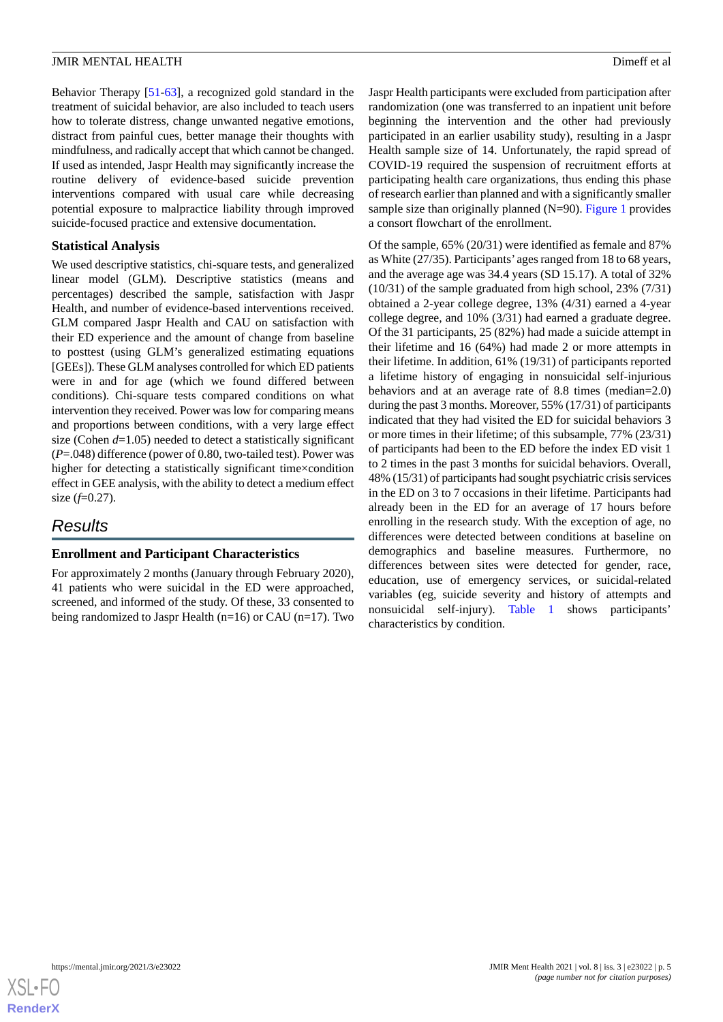Behavior Therapy [\[51](#page-12-14)-[63\]](#page-13-0), a recognized gold standard in the treatment of suicidal behavior, are also included to teach users how to tolerate distress, change unwanted negative emotions, distract from painful cues, better manage their thoughts with mindfulness, and radically accept that which cannot be changed. If used as intended, Jaspr Health may significantly increase the routine delivery of evidence-based suicide prevention interventions compared with usual care while decreasing potential exposure to malpractice liability through improved suicide-focused practice and extensive documentation.

## **Statistical Analysis**

We used descriptive statistics, chi-square tests, and generalized linear model (GLM). Descriptive statistics (means and percentages) described the sample, satisfaction with Jaspr Health, and number of evidence-based interventions received. GLM compared Jaspr Health and CAU on satisfaction with their ED experience and the amount of change from baseline to posttest (using GLM's generalized estimating equations [GEEs]). These GLM analyses controlled for which ED patients were in and for age (which we found differed between conditions). Chi-square tests compared conditions on what intervention they received. Power was low for comparing means and proportions between conditions, with a very large effect size (Cohen *d*=1.05) needed to detect a statistically significant (*P*=.048) difference (power of 0.80, two-tailed test). Power was higher for detecting a statistically significant time×condition effect in GEE analysis, with the ability to detect a medium effect size (*f*=0.27).

# *Results*

## **Enrollment and Participant Characteristics**

For approximately 2 months (January through February 2020), 41 patients who were suicidal in the ED were approached, screened, and informed of the study. Of these, 33 consented to being randomized to Jaspr Health (n=16) or CAU (n=17). Two Jaspr Health participants were excluded from participation after randomization (one was transferred to an inpatient unit before beginning the intervention and the other had previously participated in an earlier usability study), resulting in a Jaspr Health sample size of 14. Unfortunately, the rapid spread of COVID-19 required the suspension of recruitment efforts at participating health care organizations, thus ending this phase of research earlier than planned and with a significantly smaller sample size than originally planned (N=90). [Figure 1](#page-5-0) provides a consort flowchart of the enrollment.

Of the sample, 65% (20/31) were identified as female and 87% as White (27/35). Participants' ages ranged from 18 to 68 years, and the average age was 34.4 years (SD 15.17). A total of 32% (10/31) of the sample graduated from high school, 23% (7/31) obtained a 2-year college degree, 13% (4/31) earned a 4-year college degree, and 10% (3/31) had earned a graduate degree. Of the 31 participants, 25 (82%) had made a suicide attempt in their lifetime and 16 (64%) had made 2 or more attempts in their lifetime. In addition, 61% (19/31) of participants reported a lifetime history of engaging in nonsuicidal self-injurious behaviors and at an average rate of 8.8 times (median=2.0) during the past 3 months. Moreover, 55% (17/31) of participants indicated that they had visited the ED for suicidal behaviors 3 or more times in their lifetime; of this subsample, 77% (23/31) of participants had been to the ED before the index ED visit 1 to 2 times in the past 3 months for suicidal behaviors. Overall, 48% (15/31) of participants had sought psychiatric crisis services in the ED on 3 to 7 occasions in their lifetime. Participants had already been in the ED for an average of 17 hours before enrolling in the research study. With the exception of age, no differences were detected between conditions at baseline on demographics and baseline measures. Furthermore, no differences between sites were detected for gender, race, education, use of emergency services, or suicidal-related variables (eg, suicide severity and history of attempts and nonsuicidal self-injury). [Table 1](#page-6-0) shows participants' characteristics by condition.

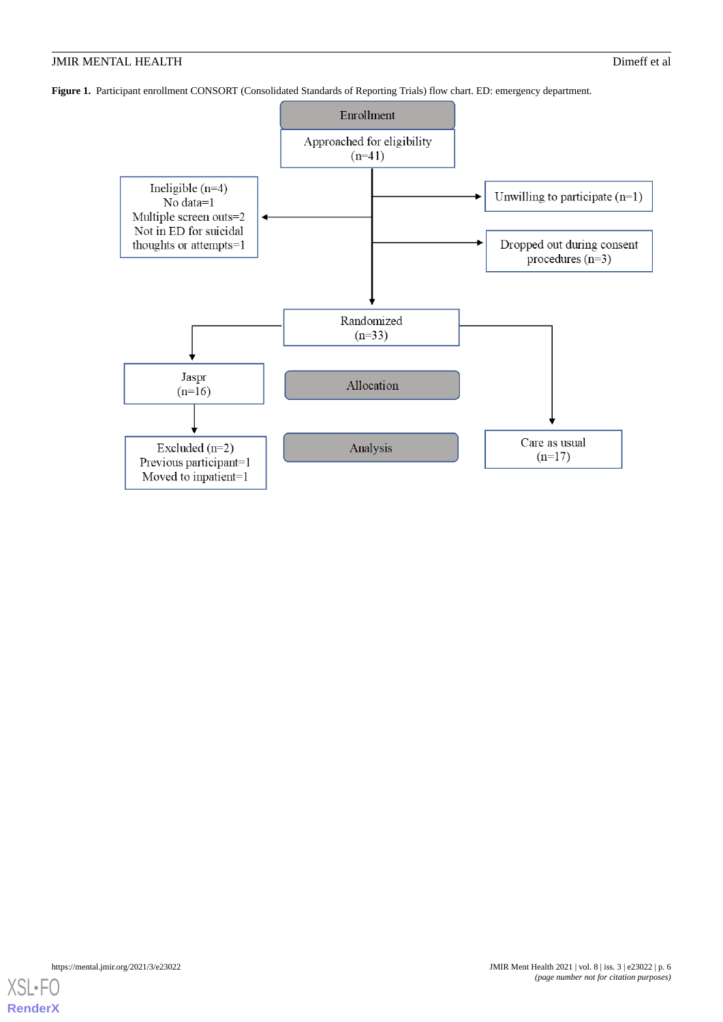<span id="page-5-0"></span>**Figure 1.** Participant enrollment CONSORT (Consolidated Standards of Reporting Trials) flow chart. ED: emergency department.



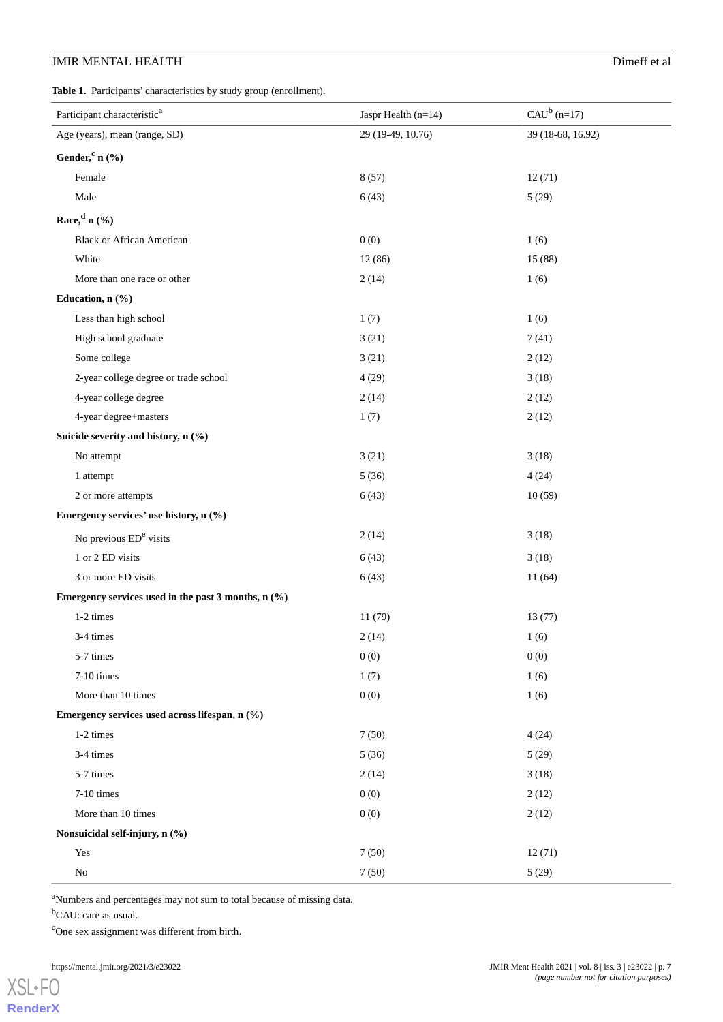<span id="page-6-0"></span>Table 1. Participants' characteristics by study group (enrollment).

| Participant characteristic <sup>a</sup>               | Jaspr Health $(n=14)$ | $CAU^b$ (n=17)    |
|-------------------------------------------------------|-----------------------|-------------------|
| Age (years), mean (range, SD)                         | 29 (19-49, 10.76)     | 39 (18-68, 16.92) |
| Gender, $c_n$ (%)                                     |                       |                   |
| Female                                                | 8(57)                 | 12(71)            |
| Male                                                  | 6(43)                 | 5(29)             |
| Race, $d_n$ (%)                                       |                       |                   |
| <b>Black or African American</b>                      | 0(0)                  | 1(6)              |
| White                                                 | 12(86)                | 15(88)            |
| More than one race or other                           | 2(14)                 | 1(6)              |
| Education, n (%)                                      |                       |                   |
| Less than high school                                 | 1(7)                  | 1(6)              |
| High school graduate                                  | 3(21)                 | 7(41)             |
| Some college                                          | 3(21)                 | 2(12)             |
| 2-year college degree or trade school                 | 4(29)                 | 3(18)             |
| 4-year college degree                                 | 2(14)                 | 2(12)             |
| 4-year degree+masters                                 | 1(7)                  | 2(12)             |
| Suicide severity and history, n (%)                   |                       |                   |
| No attempt                                            | 3(21)                 | 3(18)             |
| 1 attempt                                             | 5(36)                 | 4(24)             |
| 2 or more attempts                                    | 6(43)                 | 10(59)            |
| Emergency services' use history, n (%)                |                       |                   |
| No previous ED <sup>e</sup> visits                    | 2(14)                 | 3(18)             |
| 1 or 2 ED visits                                      | 6(43)                 | 3(18)             |
| 3 or more ED visits                                   | 6(43)                 | 11(64)            |
| Emergency services used in the past 3 months, $n$ (%) |                       |                   |
| 1-2 times                                             | 11 (79)               | 13(77)            |
| 3-4 times                                             | 2(14)                 | 1(6)              |
| 5-7 times                                             | 0(0)                  | 0(0)              |
| $7-10$ times                                          | 1(7)                  | 1(6)              |
| More than 10 times                                    | 0(0)                  | 1(6)              |
| Emergency services used across lifespan, n (%)        |                       |                   |
| 1-2 times                                             | 7(50)                 | 4(24)             |
| 3-4 times                                             | 5(36)                 | 5(29)             |
| 5-7 times                                             | 2(14)                 | 3(18)             |
| 7-10 times                                            | 0(0)                  | 2(12)             |
| More than 10 times                                    | 0(0)                  | 2(12)             |
| Nonsuicidal self-injury, n (%)                        |                       |                   |
| Yes                                                   | 7(50)                 | 12(71)            |
| $\rm No$                                              | 7(50)                 | 5(29)             |

<sup>a</sup>Numbers and percentages may not sum to total because of missing data.

<sup>b</sup>CAU: care as usual.

<sup>c</sup>One sex assignment was different from birth.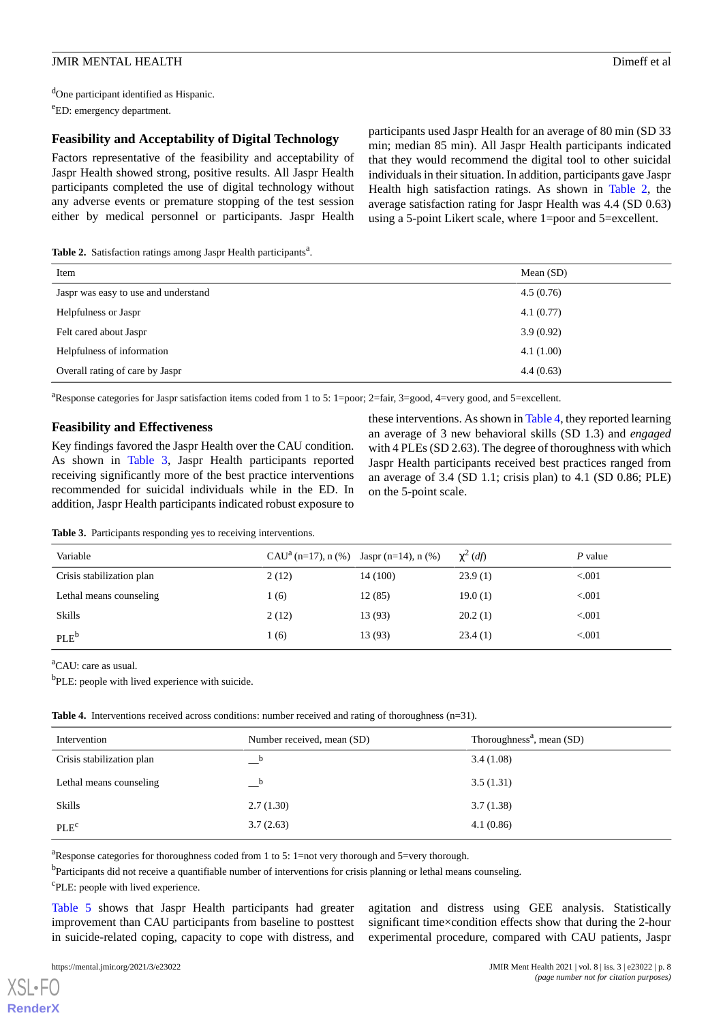<sup>d</sup>One participant identified as Hispanic. <sup>e</sup>ED: emergency department.

## **Feasibility and Acceptability of Digital Technology**

Factors representative of the feasibility and acceptability of Jaspr Health showed strong, positive results. All Jaspr Health participants completed the use of digital technology without any adverse events or premature stopping of the test session either by medical personnel or participants. Jaspr Health

participants used Jaspr Health for an average of 80 min (SD 33 min; median 85 min). All Jaspr Health participants indicated that they would recommend the digital tool to other suicidal individuals in their situation. In addition, participants gave Jaspr Health high satisfaction ratings. As shown in [Table 2](#page-7-0), the average satisfaction rating for Jaspr Health was 4.4 (SD 0.63) using a 5-point Likert scale, where 1=poor and 5=excellent.

<span id="page-7-0"></span>Table 2. Satisfaction ratings among Jaspr Health participants<sup>a</sup>.

| Item                                 | Mean $(SD)$ |
|--------------------------------------|-------------|
| Jaspr was easy to use and understand | 4.5(0.76)   |
| Helpfulness or Jaspr                 | 4.1(0.77)   |
| Felt cared about Jaspr               | 3.9(0.92)   |
| Helpfulness of information           | 4.1(1.00)   |
| Overall rating of care by Jaspr      | 4.4(0.63)   |

<sup>a</sup>Response categories for Jaspr satisfaction items coded from 1 to 5: 1=poor; 2=fair, 3=good, 4=very good, and 5=excellent.

### **Feasibility and Effectiveness**

<span id="page-7-1"></span>Key findings favored the Jaspr Health over the CAU condition. As shown in [Table 3](#page-7-1), Jaspr Health participants reported receiving significantly more of the best practice interventions recommended for suicidal individuals while in the ED. In addition, Jaspr Health participants indicated robust exposure to

these interventions. As shown in [Table 4,](#page-7-2) they reported learning an average of 3 new behavioral skills (SD 1.3) and *engaged* with 4 PLEs (SD 2.63). The degree of thoroughness with which Jaspr Health participants received best practices ranged from an average of 3.4 (SD 1.1; crisis plan) to 4.1 (SD 0.86; PLE) on the 5-point scale.

|  |  |  | <b>Table 3.</b> Participants responding yes to receiving interventions. |  |
|--|--|--|-------------------------------------------------------------------------|--|
|--|--|--|-------------------------------------------------------------------------|--|

| Variable                  | CAU <sup>a</sup> (n=17), n (%) Jaspr (n=14), n (%) |          | $\chi^2$ (df) | P value |
|---------------------------|----------------------------------------------------|----------|---------------|---------|
| Crisis stabilization plan | 2(12)                                              | 14 (100) | 23.9(1)       | < 0.001 |
| Lethal means counseling   | 1(6)                                               | 12(85)   | 19.0(1)       | < 0.001 |
| <b>Skills</b>             | 2(12)                                              | 13 (93)  | 20.2(1)       | < 0.001 |
| PLE <sup>b</sup>          | 1 (6)                                              | 13 (93)  | 23.4(1)       | < 0.001 |

<span id="page-7-2"></span><sup>a</sup>CAU: care as usual.

<sup>b</sup>PLE: people with lived experience with suicide.

|  | Table 4. Interventions received across conditions: number received and rating of thoroughness $(n=31)$ . |  |  |  |  |
|--|----------------------------------------------------------------------------------------------------------|--|--|--|--|
|  |                                                                                                          |  |  |  |  |

| Intervention              | Number received, mean (SD) | Thoroughness <sup>a</sup> , mean $(SD)$ |
|---------------------------|----------------------------|-----------------------------------------|
| Crisis stabilization plan | b<br>__                    | 3.4(1.08)                               |
| Lethal means counseling   | h                          | 3.5(1.31)                               |
| Skills                    | 2.7(1.30)                  | 3.7(1.38)                               |
| PLE <sup>c</sup>          | 3.7(2.63)                  | 4.1(0.86)                               |

<sup>a</sup>Response categories for thoroughness coded from 1 to 5: 1=not very thorough and 5=very thorough.

<sup>b</sup>Participants did not receive a quantifiable number of interventions for crisis planning or lethal means counseling.

<sup>c</sup>PLE: people with lived experience.

[Table 5](#page-8-0) shows that Jaspr Health participants had greater improvement than CAU participants from baseline to posttest in suicide-related coping, capacity to cope with distress, and agitation and distress using GEE analysis. Statistically significant time×condition effects show that during the 2-hour experimental procedure, compared with CAU patients, Jaspr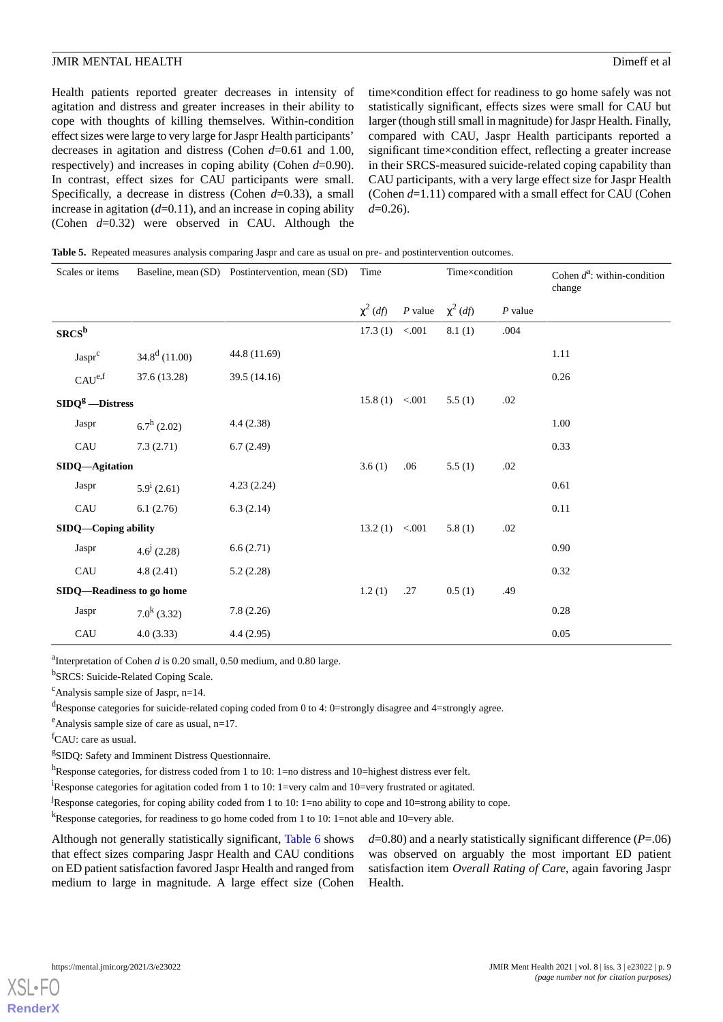Health patients reported greater decreases in intensity of agitation and distress and greater increases in their ability to cope with thoughts of killing themselves. Within-condition effect sizes were large to very large for Jaspr Health participants' decreases in agitation and distress (Cohen *d*=0.61 and 1.00, respectively) and increases in coping ability (Cohen *d*=0.90). In contrast, effect sizes for CAU participants were small. Specifically, a decrease in distress (Cohen *d*=0.33), a small increase in agitation  $(d=0.11)$ , and an increase in coping ability (Cohen *d*=0.32) were observed in CAU. Although the

time×condition effect for readiness to go home safely was not statistically significant, effects sizes were small for CAU but larger (though still small in magnitude) for Jaspr Health. Finally, compared with CAU, Jaspr Health participants reported a significant time×condition effect, reflecting a greater increase in their SRCS-measured suicide-related coping capability than CAU participants, with a very large effect size for Jaspr Health (Cohen *d*=1.11) compared with a small effect for CAU (Cohen *d*=0.26).

<span id="page-8-0"></span>

|  |  |  |  | Table 5. Repeated measures analysis comparing Jaspr and care as usual on pre- and postintervention outcomes. |  |
|--|--|--|--|--------------------------------------------------------------------------------------------------------------|--|
|--|--|--|--|--------------------------------------------------------------------------------------------------------------|--|

| Scales or items           |                      | Baseline, mean (SD) Postintervention, mean (SD) | Time           |                       | Time×condition |           | Cohen $d^2$ : within-condition<br>change |
|---------------------------|----------------------|-------------------------------------------------|----------------|-----------------------|----------------|-----------|------------------------------------------|
|                           |                      |                                                 | $\chi^2$ (df)  | P value $\chi^2$ (df) |                | $P$ value |                                          |
| $S R C S^b$               |                      |                                                 | 17.3(1) < .001 |                       | 8.1(1)         | .004      |                                          |
| Jaspr <sup>c</sup>        | $34.8^d$ (11.00)     | 44.8 (11.69)                                    |                |                       |                |           | 1.11                                     |
| $CAU^{e,f}$               | 37.6 (13.28)         | 39.5 (14.16)                                    |                |                       |                |           | 0.26                                     |
| $SIDQg - Distress$        |                      |                                                 | 15.8(1) < .001 |                       | 5.5(1)         | .02       |                                          |
| Jaspr                     | $6.7^{\rm h}$ (2.02) | 4.4(2.38)                                       |                |                       |                |           | 1.00                                     |
| CAU                       | 7.3(2.71)            | 6.7(2.49)                                       |                |                       |                |           | 0.33                                     |
| SIDQ-Agitation            |                      |                                                 | 3.6(1)         | .06                   | 5.5(1)         | .02       |                                          |
| Jaspr                     | $5.9^{\rm i}$ (2.61) | 4.23(2.24)                                      |                |                       |                |           | 0.61                                     |
| CAU                       | 6.1(2.76)            | 6.3(2.14)                                       |                |                       |                |           | 0.11                                     |
| SIDQ—Coping ability       |                      |                                                 | 13.2(1) < .001 |                       | 5.8(1)         | .02       |                                          |
| Jaspr                     | $4.6^{j}$ (2.28)     | 6.6(2.71)                                       |                |                       |                |           | 0.90                                     |
| CAU                       | 4.8(2.41)            | 5.2(2.28)                                       |                |                       |                |           | 0.32                                     |
| SIDQ-Readiness to go home |                      |                                                 | 1.2(1)         | .27                   | 0.5(1)         | .49       |                                          |
| Jaspr                     | $7.0^{k}$ (3.32)     | 7.8(2.26)                                       |                |                       |                |           | 0.28                                     |
| CAU                       | 4.0(3.33)            | 4.4(2.95)                                       |                |                       |                |           | 0.05                                     |

<sup>a</sup>Interpretation of Cohen *d* is 0.20 small, 0.50 medium, and 0.80 large.

<sup>b</sup>SRCS: Suicide-Related Coping Scale.

 $c$ Analysis sample size of Jaspr, n=14.

<sup>d</sup>Response categories for suicide-related coping coded from 0 to 4: 0=strongly disagree and 4=strongly agree.

 $e^e$ Analysis sample size of care as usual, n=17.

 ${}^{\text{f}}$ CAU: care as usual.

<sup>g</sup>SIDQ: Safety and Imminent Distress Questionnaire.

h<sub>Response</sub> categories, for distress coded from 1 to 10: 1=no distress and 10=highest distress ever felt.

<sup>1</sup>Response categories for agitation coded from 1 to 10: 1=very calm and 10=very frustrated or agitated.

<sup>j</sup>Response categories, for coping ability coded from 1 to 10: 1=no ability to cope and 10=strong ability to cope.

<sup>k</sup>Response categories, for readiness to go home coded from 1 to 10: 1=not able and 10=very able.

Although not generally statistically significant, [Table 6](#page-9-0) shows that effect sizes comparing Jaspr Health and CAU conditions on ED patient satisfaction favored Jaspr Health and ranged from medium to large in magnitude. A large effect size (Cohen

*d*=0.80) and a nearly statistically significant difference (*P*=.06) was observed on arguably the most important ED patient satisfaction item *Overall Rating of Care*, again favoring Jaspr Health.

**[RenderX](http://www.renderx.com/)**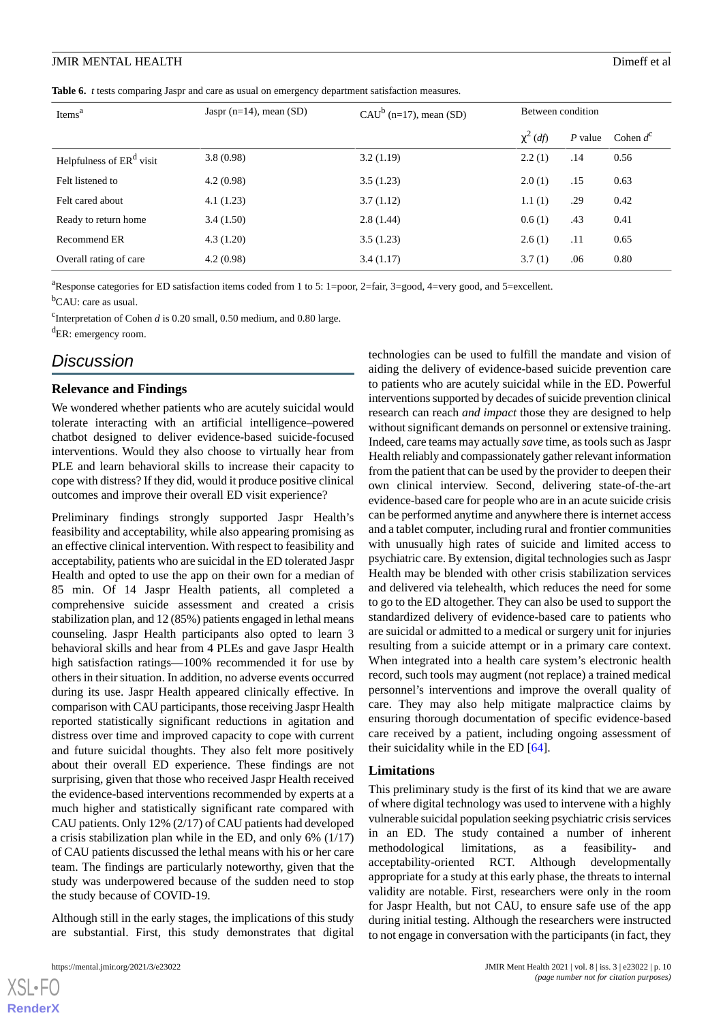#### **JMIR MENTAL HEALTH** Dimetric experience of all the control of all the Dimetrical Dimetrical Dimetrical Dimetrical Dimetrical Dimetrical Dimetrical Dimetrical Dimetrical Dimetrical Dimetrical Dimetrical Dimetrical Dimetric

<span id="page-9-0"></span>**Table 6.** *t* tests comparing Jaspr and care as usual on emergency department satisfaction measures.

| Items <sup>a</sup>                   | Jaspr ( $n=14$ ), mean (SD) | CAU <sup>b</sup> (n=17), mean (SD) | Between condition |           |             |
|--------------------------------------|-----------------------------|------------------------------------|-------------------|-----------|-------------|
|                                      |                             |                                    | $\chi^2$ (df)     | $P$ value | Cohen $d^c$ |
| Helpfulness of ER <sup>d</sup> visit | 3.8(0.98)                   | 3.2(1.19)                          | 2.2(1)            | .14       | 0.56        |
| Felt listened to                     | 4.2(0.98)                   | 3.5(1.23)                          | 2.0(1)            | .15       | 0.63        |
| Felt cared about                     | 4.1(1.23)                   | 3.7(1.12)                          | 1.1(1)            | .29       | 0.42        |
| Ready to return home                 | 3.4(1.50)                   | 2.8(1.44)                          | 0.6(1)            | .43       | 0.41        |
| Recommend ER                         | 4.3(1.20)                   | 3.5(1.23)                          | 2.6(1)            | .11       | 0.65        |
| Overall rating of care               | 4.2(0.98)                   | 3.4(1.17)                          | 3.7(1)            | .06       | 0.80        |

<sup>a</sup>Response categories for ED satisfaction items coded from 1 to 5: 1=poor, 2=fair, 3=good, 4=very good, and 5=excellent.

<sup>b</sup>CAU: care as usual.

<sup>c</sup>Interpretation of Cohen *d* is 0.20 small, 0.50 medium, and 0.80 large.

<sup>d</sup>ER: emergency room.

# *Discussion*

### **Relevance and Findings**

We wondered whether patients who are acutely suicidal would tolerate interacting with an artificial intelligence–powered chatbot designed to deliver evidence-based suicide-focused interventions. Would they also choose to virtually hear from PLE and learn behavioral skills to increase their capacity to cope with distress? If they did, would it produce positive clinical outcomes and improve their overall ED visit experience?

Preliminary findings strongly supported Jaspr Health's feasibility and acceptability, while also appearing promising as an effective clinical intervention. With respect to feasibility and acceptability, patients who are suicidal in the ED tolerated Jaspr Health and opted to use the app on their own for a median of 85 min. Of 14 Jaspr Health patients, all completed a comprehensive suicide assessment and created a crisis stabilization plan, and 12 (85%) patients engaged in lethal means counseling. Jaspr Health participants also opted to learn 3 behavioral skills and hear from 4 PLEs and gave Jaspr Health high satisfaction ratings—100% recommended it for use by others in their situation. In addition, no adverse events occurred during its use. Jaspr Health appeared clinically effective. In comparison with CAU participants, those receiving Jaspr Health reported statistically significant reductions in agitation and distress over time and improved capacity to cope with current and future suicidal thoughts. They also felt more positively about their overall ED experience. These findings are not surprising, given that those who received Jaspr Health received the evidence-based interventions recommended by experts at a much higher and statistically significant rate compared with CAU patients. Only 12% (2/17) of CAU patients had developed a crisis stabilization plan while in the ED, and only 6% (1/17) of CAU patients discussed the lethal means with his or her care team. The findings are particularly noteworthy, given that the study was underpowered because of the sudden need to stop the study because of COVID-19.

Although still in the early stages, the implications of this study are substantial. First, this study demonstrates that digital technologies can be used to fulfill the mandate and vision of aiding the delivery of evidence-based suicide prevention care to patients who are acutely suicidal while in the ED. Powerful interventions supported by decades of suicide prevention clinical research can reach *and impact* those they are designed to help without significant demands on personnel or extensive training. Indeed, care teams may actually *save* time, as tools such as Jaspr Health reliably and compassionately gather relevant information from the patient that can be used by the provider to deepen their own clinical interview. Second, delivering state-of-the-art evidence-based care for people who are in an acute suicide crisis can be performed anytime and anywhere there is internet access and a tablet computer, including rural and frontier communities with unusually high rates of suicide and limited access to psychiatric care. By extension, digital technologies such as Jaspr Health may be blended with other crisis stabilization services and delivered via telehealth, which reduces the need for some to go to the ED altogether. They can also be used to support the standardized delivery of evidence-based care to patients who are suicidal or admitted to a medical or surgery unit for injuries resulting from a suicide attempt or in a primary care context. When integrated into a health care system's electronic health record, such tools may augment (not replace) a trained medical personnel's interventions and improve the overall quality of care. They may also help mitigate malpractice claims by ensuring thorough documentation of specific evidence-based care received by a patient, including ongoing assessment of their suicidality while in the ED [[64\]](#page-13-1).

### **Limitations**

This preliminary study is the first of its kind that we are aware of where digital technology was used to intervene with a highly vulnerable suicidal population seeking psychiatric crisis services in an ED. The study contained a number of inherent methodological limitations, as a feasibility- and acceptability-oriented RCT. Although developmentally appropriate for a study at this early phase, the threats to internal validity are notable. First, researchers were only in the room for Jaspr Health, but not CAU, to ensure safe use of the app during initial testing. Although the researchers were instructed to not engage in conversation with the participants (in fact, they

```
XSL•FO
RenderX
```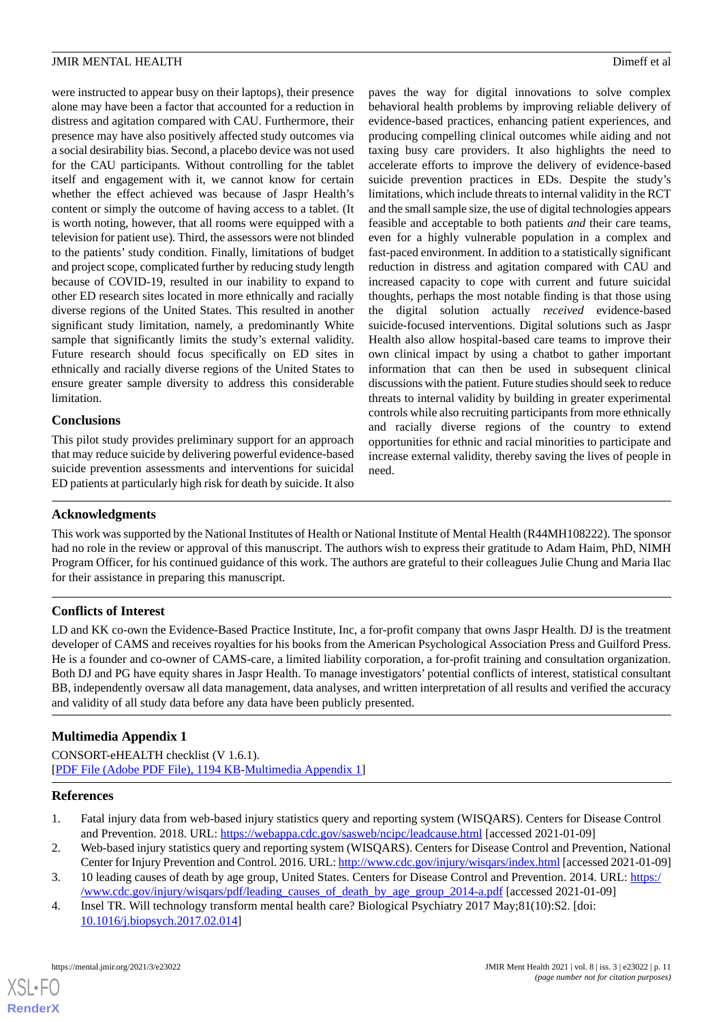were instructed to appear busy on their laptops), their presence alone may have been a factor that accounted for a reduction in distress and agitation compared with CAU. Furthermore, their presence may have also positively affected study outcomes via a social desirability bias. Second, a placebo device was not used for the CAU participants. Without controlling for the tablet itself and engagement with it, we cannot know for certain whether the effect achieved was because of Jaspr Health's content or simply the outcome of having access to a tablet. (It is worth noting, however, that all rooms were equipped with a television for patient use). Third, the assessors were not blinded to the patients' study condition. Finally, limitations of budget and project scope, complicated further by reducing study length because of COVID-19, resulted in our inability to expand to other ED research sites located in more ethnically and racially diverse regions of the United States. This resulted in another significant study limitation, namely, a predominantly White sample that significantly limits the study's external validity. Future research should focus specifically on ED sites in ethnically and racially diverse regions of the United States to ensure greater sample diversity to address this considerable limitation.

### **Conclusions**

This pilot study provides preliminary support for an approach that may reduce suicide by delivering powerful evidence-based suicide prevention assessments and interventions for suicidal ED patients at particularly high risk for death by suicide. It also paves the way for digital innovations to solve complex behavioral health problems by improving reliable delivery of evidence-based practices, enhancing patient experiences, and producing compelling clinical outcomes while aiding and not taxing busy care providers. It also highlights the need to accelerate efforts to improve the delivery of evidence-based suicide prevention practices in EDs. Despite the study's limitations, which include threats to internal validity in the RCT and the small sample size, the use of digital technologies appears feasible and acceptable to both patients *and* their care teams, even for a highly vulnerable population in a complex and fast-paced environment. In addition to a statistically significant reduction in distress and agitation compared with CAU and increased capacity to cope with current and future suicidal thoughts, perhaps the most notable finding is that those using the digital solution actually *received* evidence-based suicide-focused interventions. Digital solutions such as Jaspr Health also allow hospital-based care teams to improve their own clinical impact by using a chatbot to gather important information that can then be used in subsequent clinical discussions with the patient. Future studies should seek to reduce threats to internal validity by building in greater experimental controls while also recruiting participants from more ethnically and racially diverse regions of the country to extend opportunities for ethnic and racial minorities to participate and increase external validity, thereby saving the lives of people in need.

### **Acknowledgments**

This work was supported by the National Institutes of Health or National Institute of Mental Health (R44MH108222). The sponsor had no role in the review or approval of this manuscript. The authors wish to express their gratitude to Adam Haim, PhD, NIMH Program Officer, for his continued guidance of this work. The authors are grateful to their colleagues Julie Chung and Maria Ilac for their assistance in preparing this manuscript.

### **Conflicts of Interest**

LD and KK co-own the Evidence-Based Practice Institute, Inc, a for-profit company that owns Jaspr Health. DJ is the treatment developer of CAMS and receives royalties for his books from the American Psychological Association Press and Guilford Press. He is a founder and co-owner of CAMS-care, a limited liability corporation, a for-profit training and consultation organization. Both DJ and PG have equity shares in Jaspr Health. To manage investigators' potential conflicts of interest, statistical consultant BB, independently oversaw all data management, data analyses, and written interpretation of all results and verified the accuracy and validity of all study data before any data have been publicly presented.

### <span id="page-10-0"></span>**Multimedia Appendix 1**

<span id="page-10-1"></span>CONSORT-eHEALTH checklist (V 1.6.1). [[PDF File \(Adobe PDF File\), 1194 KB](https://jmir.org/api/download?alt_name=mental_v8i3e23022_app1.pdf&filename=c39e4cdd75d5d7afb3fd20aba4edd13d.pdf)-[Multimedia Appendix 1\]](https://jmir.org/api/download?alt_name=mental_v8i3e23022_app1.pdf&filename=c39e4cdd75d5d7afb3fd20aba4edd13d.pdf)

### <span id="page-10-2"></span>**References**

- <span id="page-10-3"></span>1. Fatal injury data from web-based injury statistics query and reporting system (WISQARS). Centers for Disease Control and Prevention. 2018. URL: <https://webappa.cdc.gov/sasweb/ncipc/leadcause.html> [accessed 2021-01-09]
- 2. Web-based injury statistics query and reporting system (WISQARS). Centers for Disease Control and Prevention, National Center for Injury Prevention and Control. 2016. URL:<http://www.cdc.gov/injury/wisqars/index.html> [accessed 2021-01-09]
- 3. 10 leading causes of death by age group, United States. Centers for Disease Control and Prevention. 2014. URL: [https:/](https://www.cdc.gov/injury/wisqars/pdf/leading_causes_of_death_by_age_group_2014-a.pdf) [/www.cdc.gov/injury/wisqars/pdf/leading\\_causes\\_of\\_death\\_by\\_age\\_group\\_2014-a.pdf](https://www.cdc.gov/injury/wisqars/pdf/leading_causes_of_death_by_age_group_2014-a.pdf) [accessed 2021-01-09]
- 4. Insel TR. Will technology transform mental health care? Biological Psychiatry 2017 May;81(10):S2. [doi: [10.1016/j.biopsych.2017.02.014\]](http://dx.doi.org/10.1016/j.biopsych.2017.02.014)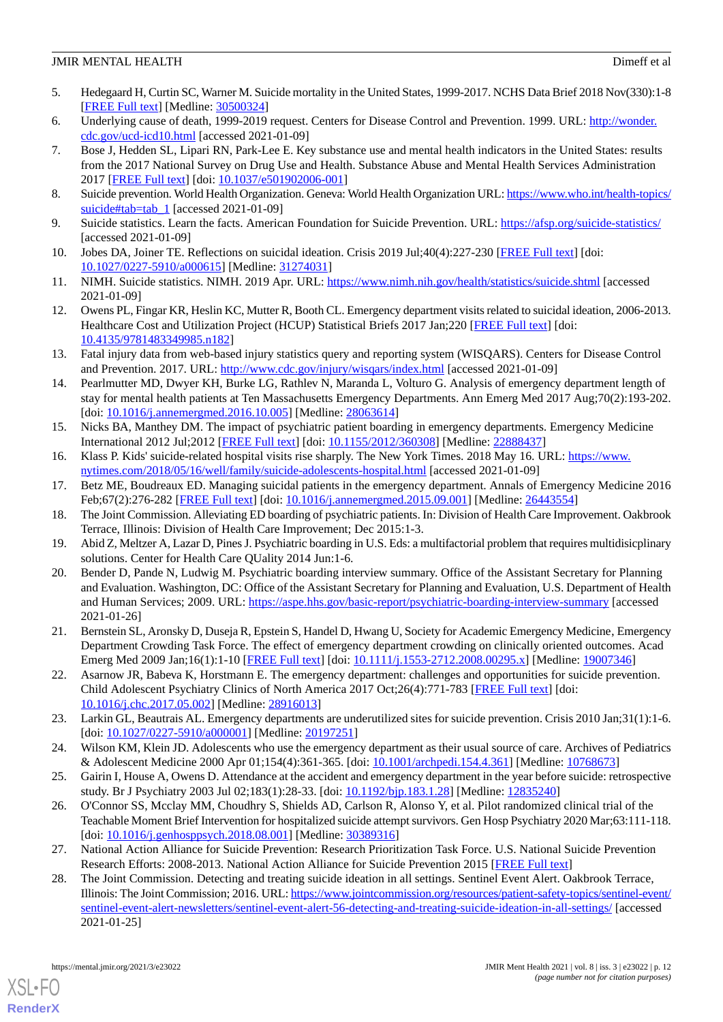- <span id="page-11-0"></span>5. Hedegaard H, Curtin SC, Warner M. Suicide mortality in the United States, 1999-2017. NCHS Data Brief 2018 Nov(330):1-8 [[FREE Full text](http://www.cdc.gov/nchs/data/databriefs/db330-h.pdf)] [Medline: [30500324](http://www.ncbi.nlm.nih.gov/entrez/query.fcgi?cmd=Retrieve&db=PubMed&list_uids=30500324&dopt=Abstract)]
- <span id="page-11-2"></span><span id="page-11-1"></span>6. Underlying cause of death, 1999-2019 request. Centers for Disease Control and Prevention. 1999. URL: [http://wonder.](http://wonder.cdc.gov/ucd-icd10.html) [cdc.gov/ucd-icd10.html](http://wonder.cdc.gov/ucd-icd10.html) [accessed 2021-01-09]
- 7. Bose J, Hedden SL, Lipari RN, Park-Lee E. Key substance use and mental health indicators in the United States: results from the 2017 National Survey on Drug Use and Health. Substance Abuse and Mental Health Services Administration 2017 [\[FREE Full text\]](https://www.samhsa.gov/data/sites/default/files/cbhsq-reports/NSDUHFFR2017/NSDUHFFR2017.pdf) [doi: [10.1037/e501902006-001](http://dx.doi.org/10.1037/e501902006-001)]
- <span id="page-11-4"></span><span id="page-11-3"></span>8. Suicide prevention. World Health Organization. Geneva: World Health Organization URL: [https://www.who.int/health-topics/](https://www.who.int/health-topics/suicide#tab=tab_1) [suicide#tab=tab\\_1](https://www.who.int/health-topics/suicide#tab=tab_1) [accessed 2021-01-09]
- <span id="page-11-5"></span>9. Suicide statistics. Learn the facts. American Foundation for Suicide Prevention. URL:<https://afsp.org/suicide-statistics/> [accessed 2021-01-09]
- <span id="page-11-6"></span>10. Jobes DA, Joiner TE. Reflections on suicidal ideation. Crisis 2019 Jul;40(4):227-230 [\[FREE Full text\]](https://hogrefe-prod.literatumonline.com/doi/10.1027/0227-5910/a000615?url_ver=Z39.88-2003&rfr_id=ori:rid:crossref.org&rfr_dat=cr_pub%3dpubmed) [doi: [10.1027/0227-5910/a000615](http://dx.doi.org/10.1027/0227-5910/a000615)] [Medline: [31274031](http://www.ncbi.nlm.nih.gov/entrez/query.fcgi?cmd=Retrieve&db=PubMed&list_uids=31274031&dopt=Abstract)]
- <span id="page-11-7"></span>11. NIMH. Suicide statistics. NIMH. 2019 Apr. URL: <https://www.nimh.nih.gov/health/statistics/suicide.shtml> [accessed 2021-01-09]
- <span id="page-11-8"></span>12. Owens PL, Fingar KR, Heslin KC, Mutter R, Booth CL. Emergency department visits related to suicidal ideation, 2006-2013. Healthcare Cost and Utilization Project (HCUP) Statistical Briefs 2017 Jan;220 [\[FREE Full text\]](https://www.ncbi.nlm.nih.gov/books/NBK442036/) [doi: [10.4135/9781483349985.n182](http://dx.doi.org/10.4135/9781483349985.n182)]
- <span id="page-11-9"></span>13. Fatal injury data from web-based injury statistics query and reporting system (WISQARS). Centers for Disease Control and Prevention. 2017. URL: <http://www.cdc.gov/injury/wisqars/index.html> [accessed 2021-01-09]
- <span id="page-11-10"></span>14. Pearlmutter MD, Dwyer KH, Burke LG, Rathlev N, Maranda L, Volturo G. Analysis of emergency department length of stay for mental health patients at Ten Massachusetts Emergency Departments. Ann Emerg Med 2017 Aug;70(2):193-202. [doi: [10.1016/j.annemergmed.2016.10.005](http://dx.doi.org/10.1016/j.annemergmed.2016.10.005)] [Medline: [28063614](http://www.ncbi.nlm.nih.gov/entrez/query.fcgi?cmd=Retrieve&db=PubMed&list_uids=28063614&dopt=Abstract)]
- <span id="page-11-11"></span>15. Nicks BA, Manthey DM. The impact of psychiatric patient boarding in emergency departments. Emergency Medicine International 2012 Jul;2012 [[FREE Full text](https://doi.org/10.1155/2012/360308)] [doi: [10.1155/2012/360308\]](http://dx.doi.org/10.1155/2012/360308) [Medline: [22888437](http://www.ncbi.nlm.nih.gov/entrez/query.fcgi?cmd=Retrieve&db=PubMed&list_uids=22888437&dopt=Abstract)]
- <span id="page-11-12"></span>16. Klass P. Kids' suicide-related hospital visits rise sharply. The New York Times. 2018 May 16. URL: [https://www.](https://www.nytimes.com/2018/05/16/well/family/suicide-adolescents-hospital.html) [nytimes.com/2018/05/16/well/family/suicide-adolescents-hospital.html](https://www.nytimes.com/2018/05/16/well/family/suicide-adolescents-hospital.html) [accessed 2021-01-09]
- <span id="page-11-13"></span>17. Betz ME, Boudreaux ED. Managing suicidal patients in the emergency department. Annals of Emergency Medicine 2016 Feb;67(2):276-282 [[FREE Full text](http://europepmc.org/abstract/MED/26443554)] [doi: [10.1016/j.annemergmed.2015.09.001](http://dx.doi.org/10.1016/j.annemergmed.2015.09.001)] [Medline: [26443554\]](http://www.ncbi.nlm.nih.gov/entrez/query.fcgi?cmd=Retrieve&db=PubMed&list_uids=26443554&dopt=Abstract)
- <span id="page-11-14"></span>18. The Joint Commission. Alleviating ED boarding of psychiatric patients. In: Division of Health Care Improvement. Oakbrook Terrace, Illinois: Division of Health Care Improvement; Dec 2015:1-3.
- 19. Abid Z, Meltzer A, Lazar D, Pines J. Psychiatric boarding in U.S. Eds: a multifactorial problem that requires multidisicplinary solutions. Center for Health Care QUality 2014 Jun:1-6.
- <span id="page-11-15"></span>20. Bender D, Pande N, Ludwig M. Psychiatric boarding interview summary. Office of the Assistant Secretary for Planning and Evaluation. Washington, DC: Office of the Assistant Secretary for Planning and Evaluation, U.S. Department of Health and Human Services; 2009. URL: <https://aspe.hhs.gov/basic-report/psychiatric-boarding-interview-summary> [accessed 2021-01-26]
- <span id="page-11-17"></span><span id="page-11-16"></span>21. Bernstein SL, Aronsky D, Duseja R, Epstein S, Handel D, Hwang U, Society for Academic Emergency Medicine, Emergency Department Crowding Task Force. The effect of emergency department crowding on clinically oriented outcomes. Acad Emerg Med 2009 Jan;16(1):1-10 [[FREE Full text\]](https://doi.org/10.1111/j.1553-2712.2008.00295.x) [doi: [10.1111/j.1553-2712.2008.00295.x\]](http://dx.doi.org/10.1111/j.1553-2712.2008.00295.x) [Medline: [19007346](http://www.ncbi.nlm.nih.gov/entrez/query.fcgi?cmd=Retrieve&db=PubMed&list_uids=19007346&dopt=Abstract)]
- 22. Asarnow JR, Babeva K, Horstmann E. The emergency department: challenges and opportunities for suicide prevention. Child Adolescent Psychiatry Clinics of North America 2017 Oct;26(4):771-783 [\[FREE Full text\]](http://europepmc.org/abstract/MED/28916013) [doi: [10.1016/j.chc.2017.05.002\]](http://dx.doi.org/10.1016/j.chc.2017.05.002) [Medline: [28916013](http://www.ncbi.nlm.nih.gov/entrez/query.fcgi?cmd=Retrieve&db=PubMed&list_uids=28916013&dopt=Abstract)]
- <span id="page-11-19"></span><span id="page-11-18"></span>23. Larkin GL, Beautrais AL. Emergency departments are underutilized sites for suicide prevention. Crisis 2010 Jan;31(1):1-6. [doi: [10.1027/0227-5910/a000001\]](http://dx.doi.org/10.1027/0227-5910/a000001) [Medline: [20197251\]](http://www.ncbi.nlm.nih.gov/entrez/query.fcgi?cmd=Retrieve&db=PubMed&list_uids=20197251&dopt=Abstract)
- 24. Wilson KM, Klein JD. Adolescents who use the emergency department as their usual source of care. Archives of Pediatrics & Adolescent Medicine 2000 Apr 01;154(4):361-365. [doi: [10.1001/archpedi.154.4.361](http://dx.doi.org/10.1001/archpedi.154.4.361)] [Medline: [10768673](http://www.ncbi.nlm.nih.gov/entrez/query.fcgi?cmd=Retrieve&db=PubMed&list_uids=10768673&dopt=Abstract)]
- <span id="page-11-20"></span>25. Gairin I, House A, Owens D. Attendance at the accident and emergency department in the year before suicide: retrospective study. Br J Psychiatry 2003 Jul 02;183(1):28-33. [doi: [10.1192/bjp.183.1.28](http://dx.doi.org/10.1192/bjp.183.1.28)] [Medline: [12835240](http://www.ncbi.nlm.nih.gov/entrez/query.fcgi?cmd=Retrieve&db=PubMed&list_uids=12835240&dopt=Abstract)]
- <span id="page-11-21"></span>26. O'Connor SS, Mcclay MM, Choudhry S, Shields AD, Carlson R, Alonso Y, et al. Pilot randomized clinical trial of the Teachable Moment Brief Intervention for hospitalized suicide attempt survivors. Gen Hosp Psychiatry 2020 Mar;63:111-118. [doi: [10.1016/j.genhosppsych.2018.08.001\]](http://dx.doi.org/10.1016/j.genhosppsych.2018.08.001) [Medline: [30389316](http://www.ncbi.nlm.nih.gov/entrez/query.fcgi?cmd=Retrieve&db=PubMed&list_uids=30389316&dopt=Abstract)]
- 27. National Action Alliance for Suicide Prevention: Research Prioritization Task Force. U.S. National Suicide Prevention Research Efforts: 2008-2013. National Action Alliance for Suicide Prevention 2015 [[FREE Full text](http://actionallianceforsuicideprevention.org/sites/actionallianceforsuicideprevention.org/files/PortfolioAnalyses.pdf)]
- 28. The Joint Commission. Detecting and treating suicide ideation in all settings. Sentinel Event Alert. Oakbrook Terrace, Illinois: The Joint Commission; 2016. URL: [https://www.jointcommission.org/resources/patient-safety-topics/sentinel-event/](https://www.jointcommission.org/resources/patient-safety-topics/sentinel-event/sentinel-event-alert-newsletters/sentinel-event-alert-56-detecting-and-treating-suicide-ideation-in-all-settings/) [sentinel-event-alert-newsletters/sentinel-event-alert-56-detecting-and-treating-suicide-ideation-in-all-settings/](https://www.jointcommission.org/resources/patient-safety-topics/sentinel-event/sentinel-event-alert-newsletters/sentinel-event-alert-56-detecting-and-treating-suicide-ideation-in-all-settings/) [accessed 2021-01-25]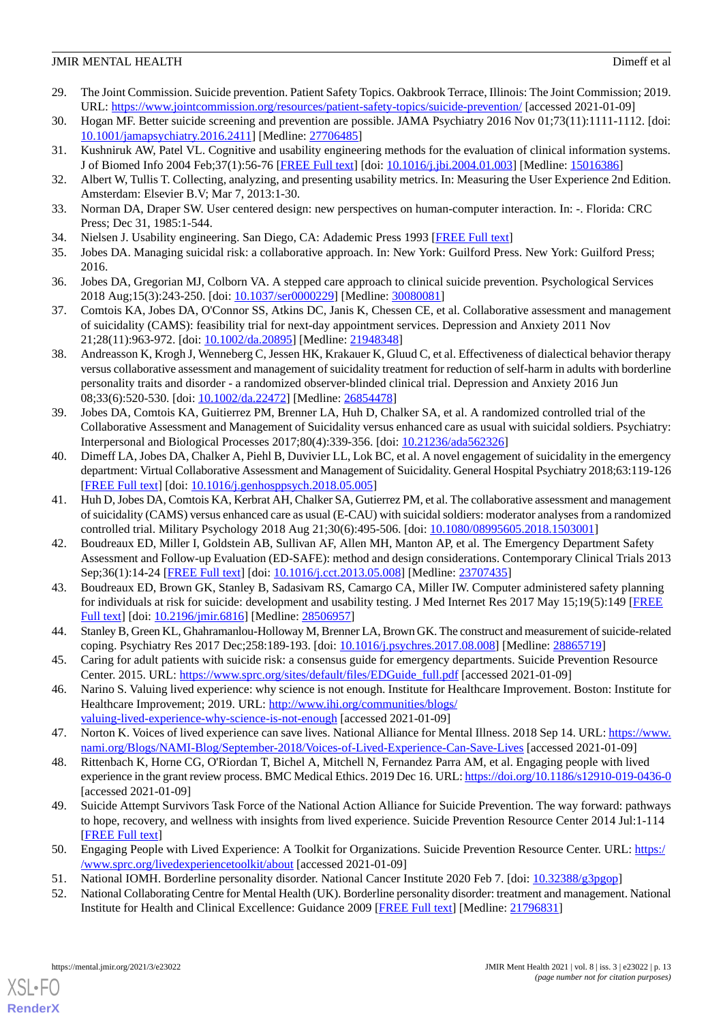- <span id="page-12-0"></span>29. The Joint Commission. Suicide prevention. Patient Safety Topics. Oakbrook Terrace, Illinois: The Joint Commission; 2019. URL: <https://www.jointcommission.org/resources/patient-safety-topics/suicide-prevention/> [accessed 2021-01-09]
- <span id="page-12-2"></span><span id="page-12-1"></span>30. Hogan MF. Better suicide screening and prevention are possible. JAMA Psychiatry 2016 Nov 01;73(11):1111-1112. [doi: [10.1001/jamapsychiatry.2016.2411](http://dx.doi.org/10.1001/jamapsychiatry.2016.2411)] [Medline: [27706485](http://www.ncbi.nlm.nih.gov/entrez/query.fcgi?cmd=Retrieve&db=PubMed&list_uids=27706485&dopt=Abstract)]
- 31. Kushniruk AW, Patel VL. Cognitive and usability engineering methods for the evaluation of clinical information systems. J of Biomed Info 2004 Feb;37(1):56-76 [[FREE Full text](https://linkinghub.elsevier.com/retrieve/pii/S1532046404000206)] [doi: [10.1016/j.jbi.2004.01.003](http://dx.doi.org/10.1016/j.jbi.2004.01.003)] [Medline: [15016386\]](http://www.ncbi.nlm.nih.gov/entrez/query.fcgi?cmd=Retrieve&db=PubMed&list_uids=15016386&dopt=Abstract)
- 32. Albert W, Tullis T. Collecting, analyzing, and presenting usability metrics. In: Measuring the User Experience 2nd Edition. Amsterdam: Elsevier B.V; Mar 7, 2013:1-30.
- <span id="page-12-3"></span>33. Norman DA, Draper SW. User centered design: new perspectives on human-computer interaction. In: -. Florida: CRC Press; Dec 31, 1985:1-544.
- <span id="page-12-4"></span>34. Nielsen J. Usability engineering. San Diego, CA: Adademic Press 1993 [[FREE Full text](https://www.scirp.org/(S(vtj3fa45qm1ean45vvffcz55))/reference/ReferencesPapers.aspx?ReferenceID=1682220)]
- <span id="page-12-5"></span>35. Jobes DA. Managing suicidal risk: a collaborative approach. In: New York: Guilford Press. New York: Guilford Press; 2016.
- <span id="page-12-6"></span>36. Jobes DA, Gregorian MJ, Colborn VA. A stepped care approach to clinical suicide prevention. Psychological Services 2018 Aug;15(3):243-250. [doi: [10.1037/ser0000229](http://dx.doi.org/10.1037/ser0000229)] [Medline: [30080081\]](http://www.ncbi.nlm.nih.gov/entrez/query.fcgi?cmd=Retrieve&db=PubMed&list_uids=30080081&dopt=Abstract)
- 37. Comtois KA, Jobes DA, O'Connor SS, Atkins DC, Janis K, Chessen CE, et al. Collaborative assessment and management of suicidality (CAMS): feasibility trial for next-day appointment services. Depression and Anxiety 2011 Nov 21;28(11):963-972. [doi: [10.1002/da.20895\]](http://dx.doi.org/10.1002/da.20895) [Medline: [21948348](http://www.ncbi.nlm.nih.gov/entrez/query.fcgi?cmd=Retrieve&db=PubMed&list_uids=21948348&dopt=Abstract)]
- 38. Andreasson K, Krogh J, Wenneberg C, Jessen HK, Krakauer K, Gluud C, et al. Effectiveness of dialectical behavior therapy versus collaborative assessment and management of suicidality treatment for reduction of self-harm in adults with borderline personality traits and disorder - a randomized observer-blinded clinical trial. Depression and Anxiety 2016 Jun 08;33(6):520-530. [doi: [10.1002/da.22472\]](http://dx.doi.org/10.1002/da.22472) [Medline: [26854478\]](http://www.ncbi.nlm.nih.gov/entrez/query.fcgi?cmd=Retrieve&db=PubMed&list_uids=26854478&dopt=Abstract)
- 39. Jobes DA, Comtois KA, Guitierrez PM, Brenner LA, Huh D, Chalker SA, et al. A randomized controlled trial of the Collaborative Assessment and Management of Suicidality versus enhanced care as usual with suicidal soldiers. Psychiatry: Interpersonal and Biological Processes 2017;80(4):339-356. [doi: [10.21236/ada562326](http://dx.doi.org/10.21236/ada562326)]
- <span id="page-12-7"></span>40. Dimeff LA, Jobes DA, Chalker A, Piehl B, Duvivier LL, Lok BC, et al. A novel engagement of suicidality in the emergency department: Virtual Collaborative Assessment and Management of Suicidality. General Hospital Psychiatry 2018;63:119-126 [[FREE Full text](https://doi.org/10.1016/j.genhosppsych.2018.05.005)] [doi: [10.1016/j.genhosppsych.2018.05.005](http://dx.doi.org/10.1016/j.genhosppsych.2018.05.005)]
- <span id="page-12-8"></span>41. Huh D, Jobes DA, Comtois KA, Kerbrat AH, Chalker SA, Gutierrez PM, et al. The collaborative assessment and management of suicidality (CAMS) versus enhanced care as usual (E-CAU) with suicidal soldiers: moderator analyses from a randomized controlled trial. Military Psychology 2018 Aug 21;30(6):495-506. [doi: [10.1080/08995605.2018.1503001\]](http://dx.doi.org/10.1080/08995605.2018.1503001)
- <span id="page-12-9"></span>42. Boudreaux ED, Miller I, Goldstein AB, Sullivan AF, Allen MH, Manton AP, et al. The Emergency Department Safety Assessment and Follow-up Evaluation (ED-SAFE): method and design considerations. Contemporary Clinical Trials 2013 Sep;36(1):14-24 [[FREE Full text](http://europepmc.org/abstract/MED/23707435)] [doi: [10.1016/j.cct.2013.05.008](http://dx.doi.org/10.1016/j.cct.2013.05.008)] [Medline: [23707435](http://www.ncbi.nlm.nih.gov/entrez/query.fcgi?cmd=Retrieve&db=PubMed&list_uids=23707435&dopt=Abstract)]
- <span id="page-12-11"></span><span id="page-12-10"></span>43. Boudreaux ED, Brown GK, Stanley B, Sadasivam RS, Camargo CA, Miller IW. Computer administered safety planning for individuals at risk for suicide: development and usability testing. J Med Internet Res 2017 May 15;19(5):149 [\[FREE](https://www.jmir.org/2017/5/e149/) [Full text\]](https://www.jmir.org/2017/5/e149/) [doi: [10.2196/jmir.6816](http://dx.doi.org/10.2196/jmir.6816)] [Medline: [28506957\]](http://www.ncbi.nlm.nih.gov/entrez/query.fcgi?cmd=Retrieve&db=PubMed&list_uids=28506957&dopt=Abstract)
- <span id="page-12-12"></span>44. Stanley B, Green KL, Ghahramanlou-Holloway M, Brenner LA, Brown GK. The construct and measurement of suicide-related coping. Psychiatry Res 2017 Dec;258:189-193. [doi: [10.1016/j.psychres.2017.08.008\]](http://dx.doi.org/10.1016/j.psychres.2017.08.008) [Medline: [28865719\]](http://www.ncbi.nlm.nih.gov/entrez/query.fcgi?cmd=Retrieve&db=PubMed&list_uids=28865719&dopt=Abstract)
- 45. Caring for adult patients with suicide risk: a consensus guide for emergency departments. Suicide Prevention Resource Center. 2015. URL: [https://www.sprc.org/sites/default/files/EDGuide\\_full.pdf](https://www.sprc.org/sites/default/files/EDGuide_full.pdf) [accessed 2021-01-09]
- 46. Narino S. Valuing lived experience: why science is not enough. Institute for Healthcare Improvement. Boston: Institute for Healthcare Improvement; 2019. URL: [http://www.ihi.org/communities/blogs/](http://www.ihi.org/communities/blogs/valuing-lived-experience-why-science-is-not-enough) [valuing-lived-experience-why-science-is-not-enough](http://www.ihi.org/communities/blogs/valuing-lived-experience-why-science-is-not-enough) [accessed 2021-01-09]
- 47. Norton K. Voices of lived experience can save lives. National Alliance for Mental Illness. 2018 Sep 14. URL: [https://www.](https://www.nami.org/Blogs/NAMI-Blog/September-2018/Voices-of-Lived-Experience-Can-Save-Lives) [nami.org/Blogs/NAMI-Blog/September-2018/Voices-of-Lived-Experience-Can-Save-Lives](https://www.nami.org/Blogs/NAMI-Blog/September-2018/Voices-of-Lived-Experience-Can-Save-Lives) [accessed 2021-01-09]
- <span id="page-12-13"></span>48. Rittenbach K, Horne CG, O'Riordan T, Bichel A, Mitchell N, Fernandez Parra AM, et al. Engaging people with lived experience in the grant review process. BMC Medical Ethics. 2019 Dec 16. URL:<https://doi.org/10.1186/s12910-019-0436-0> [accessed 2021-01-09]
- <span id="page-12-14"></span>49. Suicide Attempt Survivors Task Force of the National Action Alliance for Suicide Prevention. The way forward: pathways to hope, recovery, and wellness with insights from lived experience. Suicide Prevention Resource Center 2014 Jul:1-114 [[FREE Full text](https://www.sprc.org/resources-programs/way-forward-pathways-hope-recovery-and-wellness-insights-lived-experience)]
- 50. Engaging People with Lived Experience: A Toolkit for Organizations. Suicide Prevention Resource Center. URL: [https:/](https://www.sprc.org/livedexperiencetoolkit/about) [/www.sprc.org/livedexperiencetoolkit/about](https://www.sprc.org/livedexperiencetoolkit/about) [accessed 2021-01-09]
- 51. National IOMH. Borderline personality disorder. National Cancer Institute 2020 Feb 7. [doi: [10.32388/g3pgop](http://dx.doi.org/10.32388/g3pgop)]
- 52. National Collaborating Centre for Mental Health (UK). Borderline personality disorder: treatment and management. National Institute for Health and Clinical Excellence: Guidance 2009 [\[FREE Full text](https://pubmed.ncbi.nlm.nih.gov/21796831/)] [Medline: [21796831](http://www.ncbi.nlm.nih.gov/entrez/query.fcgi?cmd=Retrieve&db=PubMed&list_uids=21796831&dopt=Abstract)]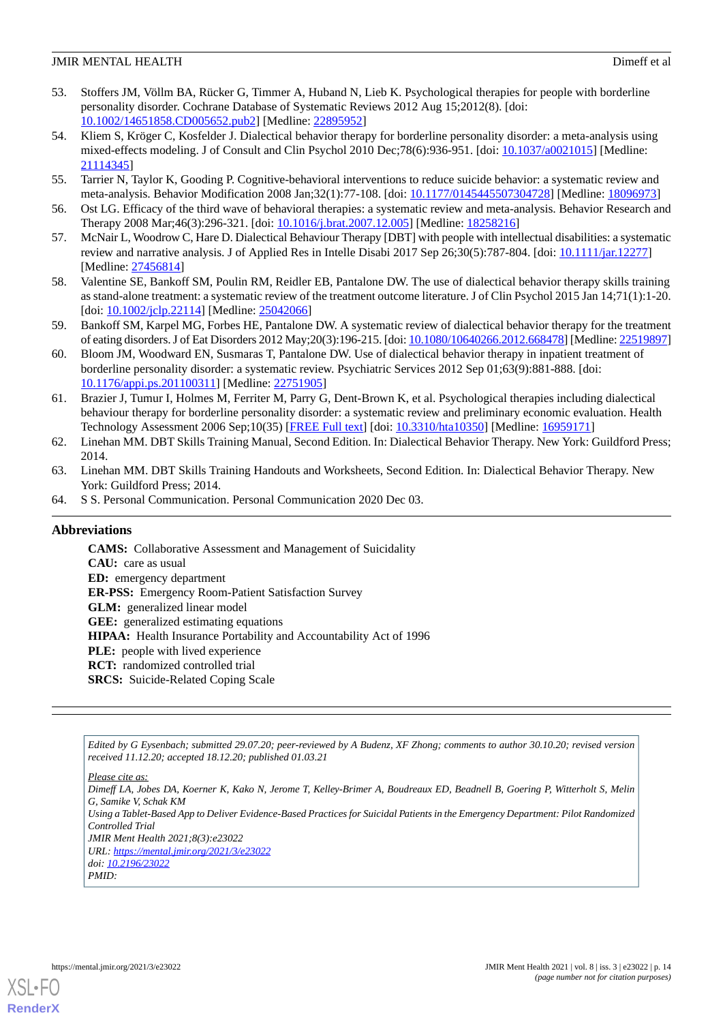- 53. Stoffers JM, Völlm BA, Rücker G, Timmer A, Huband N, Lieb K. Psychological therapies for people with borderline personality disorder. Cochrane Database of Systematic Reviews 2012 Aug 15;2012(8). [doi: [10.1002/14651858.CD005652.pub2\]](http://dx.doi.org/10.1002/14651858.CD005652.pub2) [Medline: [22895952](http://www.ncbi.nlm.nih.gov/entrez/query.fcgi?cmd=Retrieve&db=PubMed&list_uids=22895952&dopt=Abstract)]
- 54. Kliem S, Kröger C, Kosfelder J. Dialectical behavior therapy for borderline personality disorder: a meta-analysis using mixed-effects modeling. J of Consult and Clin Psychol 2010 Dec;78(6):936-951. [doi: [10.1037/a0021015](http://dx.doi.org/10.1037/a0021015)] [Medline: [21114345](http://www.ncbi.nlm.nih.gov/entrez/query.fcgi?cmd=Retrieve&db=PubMed&list_uids=21114345&dopt=Abstract)]
- 55. Tarrier N, Taylor K, Gooding P. Cognitive-behavioral interventions to reduce suicide behavior: a systematic review and meta-analysis. Behavior Modification 2008 Jan;32(1):77-108. [doi: [10.1177/0145445507304728](http://dx.doi.org/10.1177/0145445507304728)] [Medline: [18096973\]](http://www.ncbi.nlm.nih.gov/entrez/query.fcgi?cmd=Retrieve&db=PubMed&list_uids=18096973&dopt=Abstract)
- 56. Ost LG. Efficacy of the third wave of behavioral therapies: a systematic review and meta-analysis. Behavior Research and Therapy 2008 Mar;46(3):296-321. [doi: [10.1016/j.brat.2007.12.005\]](http://dx.doi.org/10.1016/j.brat.2007.12.005) [Medline: [18258216\]](http://www.ncbi.nlm.nih.gov/entrez/query.fcgi?cmd=Retrieve&db=PubMed&list_uids=18258216&dopt=Abstract)
- 57. McNair L, Woodrow C, Hare D. Dialectical Behaviour Therapy [DBT] with people with intellectual disabilities: a systematic review and narrative analysis. J of Applied Res in Intelle Disabi 2017 Sep 26;30(5):787-804. [doi: [10.1111/jar.12277\]](http://dx.doi.org/10.1111/jar.12277) [Medline: [27456814](http://www.ncbi.nlm.nih.gov/entrez/query.fcgi?cmd=Retrieve&db=PubMed&list_uids=27456814&dopt=Abstract)]
- 58. Valentine SE, Bankoff SM, Poulin RM, Reidler EB, Pantalone DW. The use of dialectical behavior therapy skills training as stand-alone treatment: a systematic review of the treatment outcome literature. J of Clin Psychol 2015 Jan 14;71(1):1-20. [doi: [10.1002/jclp.22114\]](http://dx.doi.org/10.1002/jclp.22114) [Medline: [25042066\]](http://www.ncbi.nlm.nih.gov/entrez/query.fcgi?cmd=Retrieve&db=PubMed&list_uids=25042066&dopt=Abstract)
- 59. Bankoff SM, Karpel MG, Forbes HE, Pantalone DW. A systematic review of dialectical behavior therapy for the treatment of eating disorders. J of Eat Disorders 2012 May;20(3):196-215. [doi: [10.1080/10640266.2012.668478\]](http://dx.doi.org/10.1080/10640266.2012.668478) [Medline: [22519897\]](http://www.ncbi.nlm.nih.gov/entrez/query.fcgi?cmd=Retrieve&db=PubMed&list_uids=22519897&dopt=Abstract)
- 60. Bloom JM, Woodward EN, Susmaras T, Pantalone DW. Use of dialectical behavior therapy in inpatient treatment of borderline personality disorder: a systematic review. Psychiatric Services 2012 Sep 01;63(9):881-888. [doi: [10.1176/appi.ps.201100311\]](http://dx.doi.org/10.1176/appi.ps.201100311) [Medline: [22751905\]](http://www.ncbi.nlm.nih.gov/entrez/query.fcgi?cmd=Retrieve&db=PubMed&list_uids=22751905&dopt=Abstract)
- 61. Brazier J, Tumur I, Holmes M, Ferriter M, Parry G, Dent-Brown K, et al. Psychological therapies including dialectical behaviour therapy for borderline personality disorder: a systematic review and preliminary economic evaluation. Health Technology Assessment 2006 Sep;10(35) [[FREE Full text](http://www.journalslibrary.nihr.ac.uk/hta/hta10350)] [doi: [10.3310/hta10350\]](http://dx.doi.org/10.3310/hta10350) [Medline: [16959171](http://www.ncbi.nlm.nih.gov/entrez/query.fcgi?cmd=Retrieve&db=PubMed&list_uids=16959171&dopt=Abstract)]
- <span id="page-13-1"></span><span id="page-13-0"></span>62. Linehan MM. DBT Skills Training Manual, Second Edition. In: Dialectical Behavior Therapy. New York: Guildford Press; 2014.
- 63. Linehan MM. DBT Skills Training Handouts and Worksheets, Second Edition. In: Dialectical Behavior Therapy. New York: Guildford Press; 2014.
- 64. S S. Personal Communication. Personal Communication 2020 Dec 03.

## **Abbreviations**

**CAMS:** Collaborative Assessment and Management of Suicidality **CAU:** care as usual **ED:** emergency department **ER-PSS:** Emergency Room-Patient Satisfaction Survey **GLM:** generalized linear model **GEE:** generalized estimating equations **HIPAA:** Health Insurance Portability and Accountability Act of 1996 **PLE:** people with lived experience **RCT:** randomized controlled trial **SRCS:** Suicide-Related Coping Scale

*Edited by G Eysenbach; submitted 29.07.20; peer-reviewed by A Budenz, XF Zhong; comments to author 30.10.20; revised version received 11.12.20; accepted 18.12.20; published 01.03.21*

*Please cite as:*

*Dimeff LA, Jobes DA, Koerner K, Kako N, Jerome T, Kelley-Brimer A, Boudreaux ED, Beadnell B, Goering P, Witterholt S, Melin G, Samike V, Schak KM Using a Tablet-Based App to Deliver Evidence-Based Practices for Suicidal Patients in the Emergency Department: Pilot Randomized Controlled Trial JMIR Ment Health 2021;8(3):e23022 URL: <https://mental.jmir.org/2021/3/e23022> doi: [10.2196/23022](http://dx.doi.org/10.2196/23022)*

*PMID:*